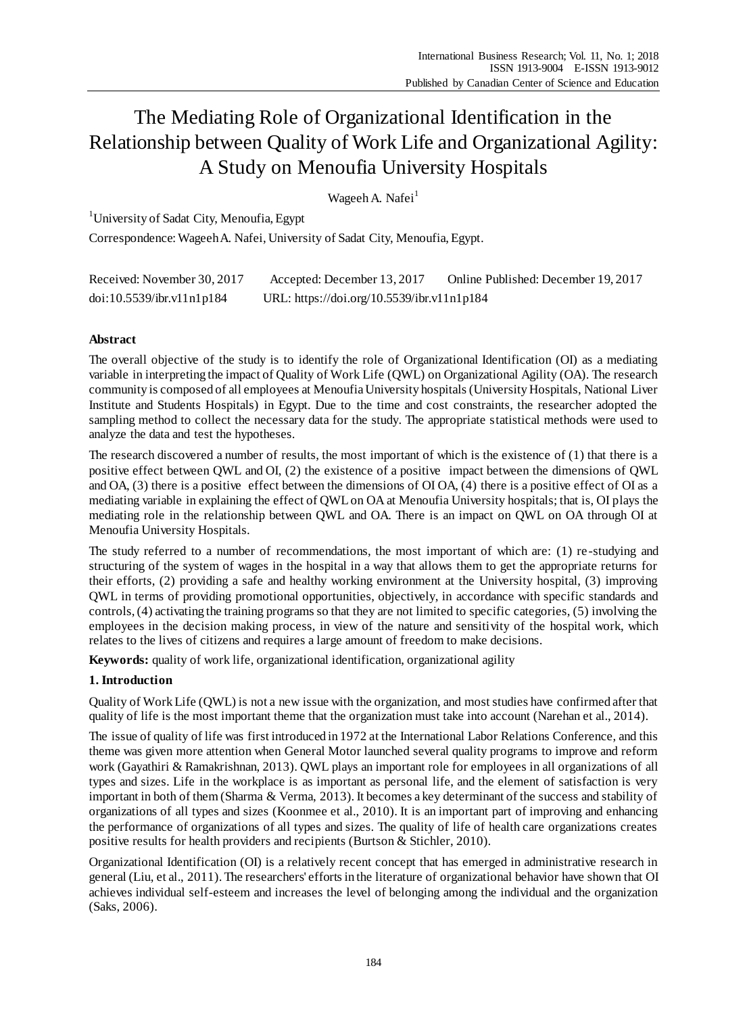# The Mediating Role of Organizational Identification in the Relationship between Quality of Work Life and Organizational Agility: A Study on Menoufia University Hospitals

Wageeh A. Nafei<sup>1</sup>

<sup>1</sup>University of Sadat City, Menoufia, Egypt

Correspondence:Wageeh A. Nafei, University of Sadat City, Menoufia, Egypt.

| Received: November 30, 2017 | Accepted: December 13, 2017                | Online Published: December 19, 2017 |
|-----------------------------|--------------------------------------------|-------------------------------------|
| doi:10.5539/ibr.v11nlp184   | URL: https://doi.org/10.5539/ibr.v11n1p184 |                                     |

# **Abstract**

The overall objective of the study is to identify the role of Organizational Identification (OI) as a mediating variable in interpreting the impact of Quality of Work Life (QWL) on Organizational Agility (OA). The research community is composed of all employees at Menoufia University hospitals (University Hospitals, National Liver Institute and Students Hospitals) in Egypt. Due to the time and cost constraints, the researcher adopted the sampling method to collect the necessary data for the study. The appropriate statistical methods were used to analyze the data and test the hypotheses.

The research discovered a number of results, the most important of which is the existence of (1) that there is a positive effect between QWL and OI, (2) the existence of a positive impact between the dimensions of QWL and OA, (3) there is a positive effect between the dimensions of OI OA, (4) there is a positive effect of OI as a mediating variable in explaining the effect of QWL on OA at Menoufia University hospitals; that is, OI plays the mediating role in the relationship between QWL and OA. There is an impact on QWL on OA through OI at Menoufia University Hospitals.

The study referred to a number of recommendations, the most important of which are: (1) re -studying and structuring of the system of wages in the hospital in a way that allows them to get the appropriate returns for their efforts, (2) providing a safe and healthy working environment at the University hospital, (3) improving QWL in terms of providing promotional opportunities, objectively, in accordance with specific standards and controls, (4) activating the training programs so that they are not limited to specific categories, (5) involving the employees in the decision making process, in view of the nature and sensitivity of the hospital work, which relates to the lives of citizens and requires a large amount of freedom to make decisions.

**Keywords:** quality of work life, organizational identification, organizational agility

# **1. Introduction**

Quality of Work Life (QWL) is not a new issue with the organization, and most studies have confirmed after that quality of life is the most important theme that the organization must take into account (Narehan et al., 2014).

The issue of quality of life was first introduced in 1972 at the International Labor Relations Conference, and this theme was given more attention when General Motor launched several quality programs to improve and reform work (Gayathiri & Ramakrishnan, 2013). QWL plays an important role for employees in all organizations of all types and sizes. Life in the workplace is as important as personal life, and the element of satisfaction is very important in both of them (Sharma & Verma, 2013). It becomes a key determinant of the success and stability of organizations of all types and sizes (Koonmee et al., 2010). It is an important part of improving and enhancing the performance of organizations of all types and sizes. The quality of life of health care organizations creates positive results for health providers and recipients (Burtson & Stichler, 2010).

Organizational Identification (OI) is a relatively recent concept that has emerged in administrative research in general (Liu, et al., 2011). The researchers' efforts in the literature of organizational behavior have shown that OI achieves individual self-esteem and increases the level of belonging among the individual and the organization (Saks, 2006).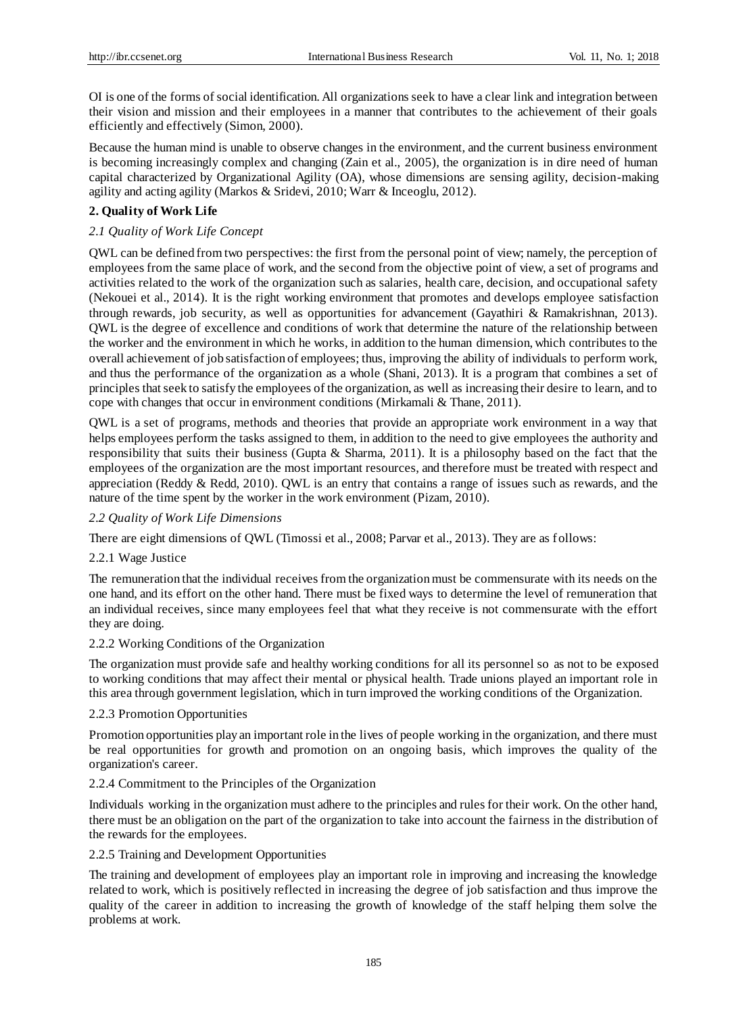OI is one of the forms of social identification. All organizations seek to have a clear link and integration between their vision and mission and their employees in a manner that contributes to the achievement of their goals efficiently and effectively (Simon, 2000).

Because the human mind is unable to observe changes in the environment, and the current business environment is becoming increasingly complex and changing (Zain et al., 2005), the organization is in dire need of human capital characterized by Organizational Agility (OA), whose dimensions are sensing agility, decision-making agility and acting agility (Markos & Sridevi, 2010; Warr & Inceoglu, 2012).

## **2. Quality of Work Life**

# *2.1 Quality of Work Life Concept*

QWL can be defined from two perspectives: the first from the personal point of view; namely, the perception of employees from the same place of work, and the second from the objective point of view, a set of programs and activities related to the work of the organization such as salaries, health care, decision, and occupational safety (Nekouei et al., 2014). It is the right working environment that promotes and develops employee satisfaction through rewards, job security, as well as opportunities for advancement (Gayathiri & Ramakrishnan, 2013). QWL is the degree of excellence and conditions of work that determine the nature of the relationship between the worker and the environment in which he works, in addition to the human dimension, which contributes to the overall achievement of job satisfaction of employees; thus, improving the ability of individuals to perform work, and thus the performance of the organization as a whole (Shani, 2013). It is a program that combines a set of principles that seek to satisfy the employees of the organization, as well as increasing their desire to learn, and to cope with changes that occur in environment conditions (Mirkamali & Thane, 2011).

QWL is a set of programs, methods and theories that provide an appropriate work environment in a way that helps employees perform the tasks assigned to them, in addition to the need to give employees the authority and responsibility that suits their business (Gupta & Sharma, 2011). It is a philosophy based on the fact that the employees of the organization are the most important resources, and therefore must be treated with respect and appreciation (Reddy  $\&$  Redd, 2010). QWL is an entry that contains a range of issues such as rewards, and the nature of the time spent by the worker in the work environment (Pizam, 2010).

## *2.2 Quality of Work Life Dimensions*

There are eight dimensions of QWL (Timossi et al., 2008; Parvar et al., 2013). They are as follows:

## 2.2.1 Wage Justice

The remuneration that the individual receives from the organization must be commensurate with its needs on the one hand, and its effort on the other hand. There must be fixed ways to determine the level of remuneration that an individual receives, since many employees feel that what they receive is not commensurate with the effort they are doing.

#### 2.2.2 Working Conditions of the Organization

The organization must provide safe and healthy working conditions for all its personnel so as not to be exposed to working conditions that may affect their mental or physical health. Trade unions played an important role in this area through government legislation, which in turn improved the working conditions of the Organization.

## 2.2.3 Promotion Opportunities

Promotion opportunities play an important role in the lives of people working in the organization, and there must be real opportunities for growth and promotion on an ongoing basis, which improves the quality of the organization's career.

#### 2.2.4 Commitment to the Principles of the Organization

Individuals working in the organization must adhere to the principles and rules for their work. On the other hand, there must be an obligation on the part of the organization to take into account the fairness in the distribution of the rewards for the employees.

## 2.2.5 Training and Development Opportunities

The training and development of employees play an important role in improving and increasing the knowledge related to work, which is positively reflected in increasing the degree of job satisfaction and thus improve the quality of the career in addition to increasing the growth of knowledge of the staff helping them solve the problems at work.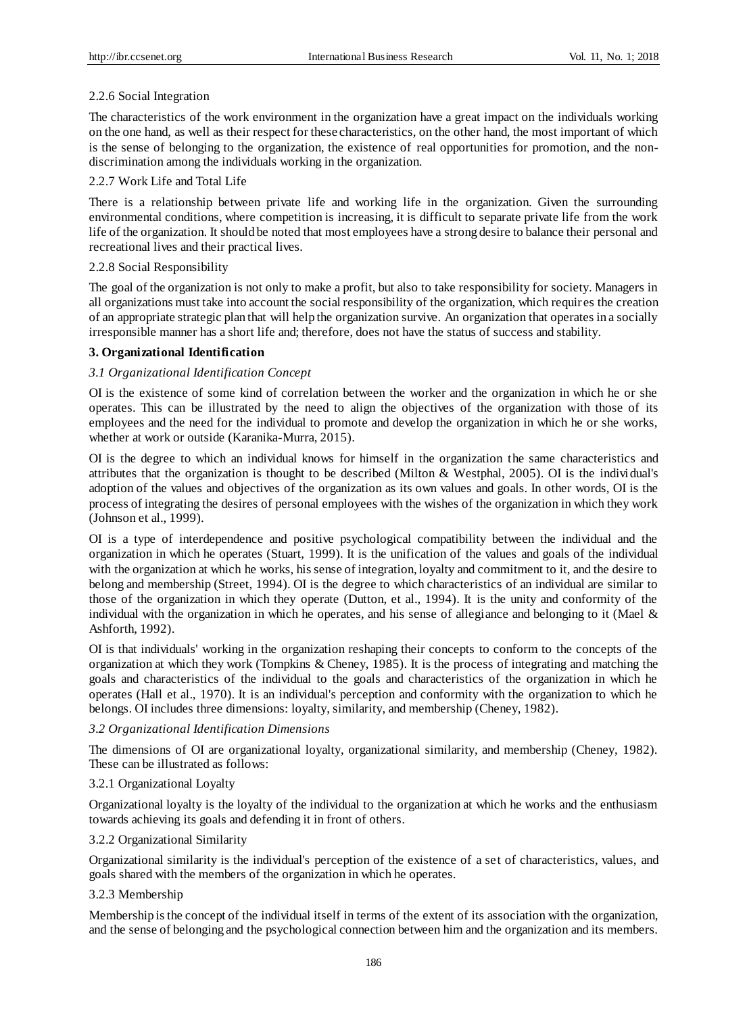# 2.2.6 Social Integration

The characteristics of the work environment in the organization have a great impact on the individuals working on the one hand, as well as their respect for these characteristics, on the other hand, the most important of which is the sense of belonging to the organization, the existence of real opportunities for promotion, and the nondiscrimination among the individuals working in the organization.

# 2.2.7 Work Life and Total Life

There is a relationship between private life and working life in the organization. Given the surrounding environmental conditions, where competition is increasing, it is difficult to separate private life from the work life of the organization. It should be noted that most employees have a strong desire to balance their personal and recreational lives and their practical lives.

## 2.2.8 Social Responsibility

The goal of the organization is not only to make a profit, but also to take responsibility for society. Managers in all organizations must take into account the social responsibility of the organization, which requires the creation of an appropriate strategic plan that will help the organization survive. An organization that operates in a socially irresponsible manner has a short life and; therefore, does not have the status of success and stability.

# **3. Organizational Identification**

# *3.1 Organizational Identification Concept*

OI is the existence of some kind of correlation between the worker and the organization in which he or she operates. This can be illustrated by the need to align the objectives of the organization with those of its employees and the need for the individual to promote and develop the organization in which he or she works, whether at work or outside (Karanika-Murra, 2015).

OI is the degree to which an individual knows for himself in the organization the same characteristics and attributes that the organization is thought to be described (Milton & Westphal, 2005). OI is the individual's adoption of the values and objectives of the organization as its own values and goals. In other words, OI is the process of integrating the desires of personal employees with the wishes of the organization in which they work (Johnson et al., 1999).

OI is a type of interdependence and positive psychological compatibility between the individual and the organization in which he operates (Stuart, 1999). It is the unification of the values and goals of the individual with the organization at which he works, his sense of integration, loyalty and commitment to it, and the desire to belong and membership (Street, 1994). OI is the degree to which characteristics of an individual are similar to those of the organization in which they operate (Dutton, et al., 1994). It is the unity and conformity of the individual with the organization in which he operates, and his sense of allegiance and belonging to it (Mael & Ashforth, 1992).

OI is that individuals' working in the organization reshaping their concepts to conform to the concepts of the organization at which they work (Tompkins & Cheney, 1985). It is the process of integrating and matching the goals and characteristics of the individual to the goals and characteristics of the organization in which he operates (Hall et al., 1970). It is an individual's perception and conformity with the organization to which he belongs. OI includes three dimensions: loyalty, similarity, and membership (Cheney, 1982).

## *3.2 Organizational Identification Dimensions*

The dimensions of OI are organizational loyalty, organizational similarity, and membership (Cheney, 1982). These can be illustrated as follows:

## 3.2.1 Organizational Loyalty

Organizational loyalty is the loyalty of the individual to the organization at which he works and the enthusiasm towards achieving its goals and defending it in front of others.

## 3.2.2 Organizational Similarity

Organizational similarity is the individual's perception of the existence of a set of characteristics, values, and goals shared with the members of the organization in which he operates.

## 3.2.3 Membership

Membership is the concept of the individual itself in terms of the extent of its association with the organization, and the sense of belonging and the psychological connection between him and the organization and its members.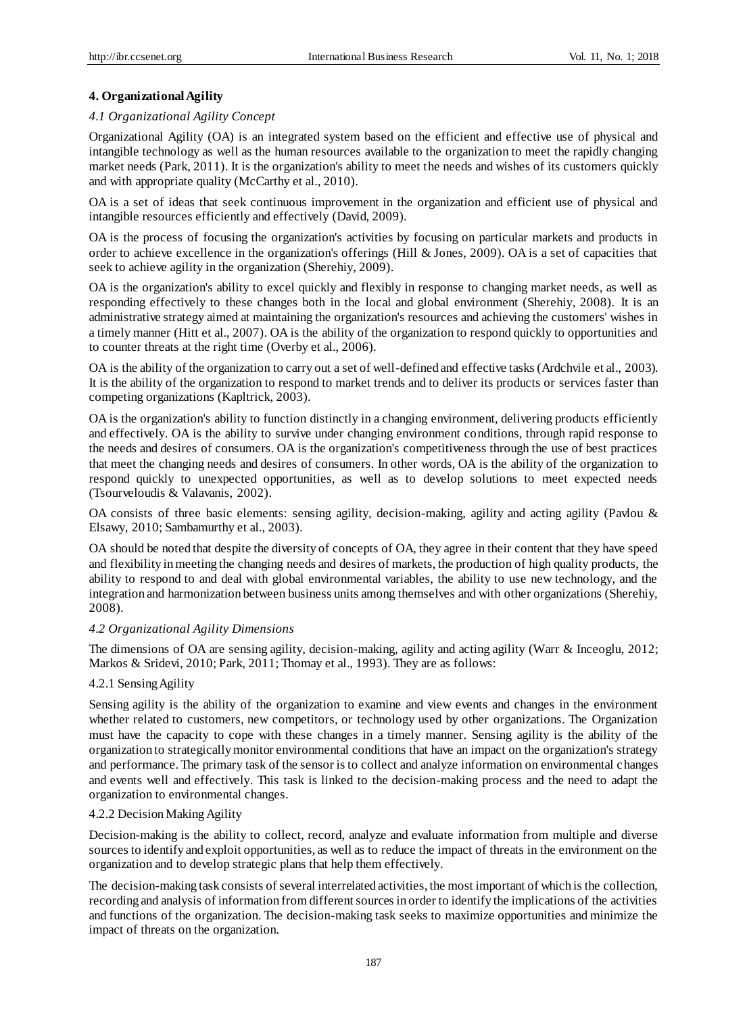# **4. Organizational Agility**

# *4.1 Organizational Agility Concept*

Organizational Agility (OA) is an integrated system based on the efficient and effective use of physical and intangible technology as well as the human resources available to the organization to meet the rapidly changing market needs (Park, 2011). It is the organization's ability to meet the needs and wishes of its customers quickly and with appropriate quality (McCarthy et al., 2010).

OA is a set of ideas that seek continuous improvement in the organization and efficient use of physical and intangible resources efficiently and effectively (David, 2009).

OA is the process of focusing the organization's activities by focusing on particular markets and products in order to achieve excellence in the organization's offerings (Hill & Jones, 2009). OA is a set of capacities that seek to achieve agility in the organization (Sherehiy, 2009).

OA is the organization's ability to excel quickly and flexibly in response to changing market needs, as well as responding effectively to these changes both in the local and global environment (Sherehiy, 2008). It is an administrative strategy aimed at maintaining the organization's resources and achieving the customers' wishes in a timely manner (Hitt et al., 2007). OA is the ability of the organization to respond quickly to opportunities and to counter threats at the right time (Overby et al., 2006).

OA is the ability of the organization to carry out a set of well-defined and effective tasks (Ardchvile et al., 2003). It is the ability of the organization to respond to market trends and to deliver its products or services faster than competing organizations (Kapltrick, 2003).

OA is the organization's ability to function distinctly in a changing environment, delivering products efficiently and effectively. OA is the ability to survive under changing environment conditions, through rapid response to the needs and desires of consumers. OA is the organization's competitiveness through the use of best practices that meet the changing needs and desires of consumers. In other words, OA is the ability of the organization to respond quickly to unexpected opportunities, as well as to develop solutions to meet expected needs (Tsourveloudis & Valavanis, 2002).

OA consists of three basic elements: sensing agility, decision-making, agility and acting agility (Pavlou & Elsawy, 2010; Sambamurthy et al., 2003).

OA should be noted that despite the diversity of concepts of OA, they agree in their content that they have speed and flexibility in meeting the changing needs and desires of markets, the production of high quality products, the ability to respond to and deal with global environmental variables, the ability to use new technology, and the integration and harmonization between business units among themselves and with other organizations (Sherehiy, 2008).

# *4.2 Organizational Agility Dimensions*

The dimensions of OA are sensing agility, decision-making, agility and acting agility (Warr & Inceoglu, 2012; Markos & Sridevi, 2010; Park, 2011; Thomay et al., 1993). They are as follows:

# 4.2.1 Sensing Agility

Sensing agility is the ability of the organization to examine and view events and changes in the environment whether related to customers, new competitors, or technology used by other organizations. The Organization must have the capacity to cope with these changes in a timely manner. Sensing agility is the ability of the organization to strategically monitor environmental conditions that have an impact on the organization's strategy and performance. The primary task of the sensor is to collect and analyze information on environmental changes and events well and effectively. This task is linked to the decision-making process and the need to adapt the organization to environmental changes.

# 4.2.2 Decision Making Agility

Decision-making is the ability to collect, record, analyze and evaluate information from multiple and diverse sources to identify and exploit opportunities, as well as to reduce the impact of threats in the environment on the organization and to develop strategic plans that help them effectively.

The decision-making task consists of several interrelated activities, the most important of which is the collection, recording and analysis of information from different sources in order to identify the implications of the activities and functions of the organization. The decision-making task seeks to maximize opportunities and minimize the impact of threats on the organization.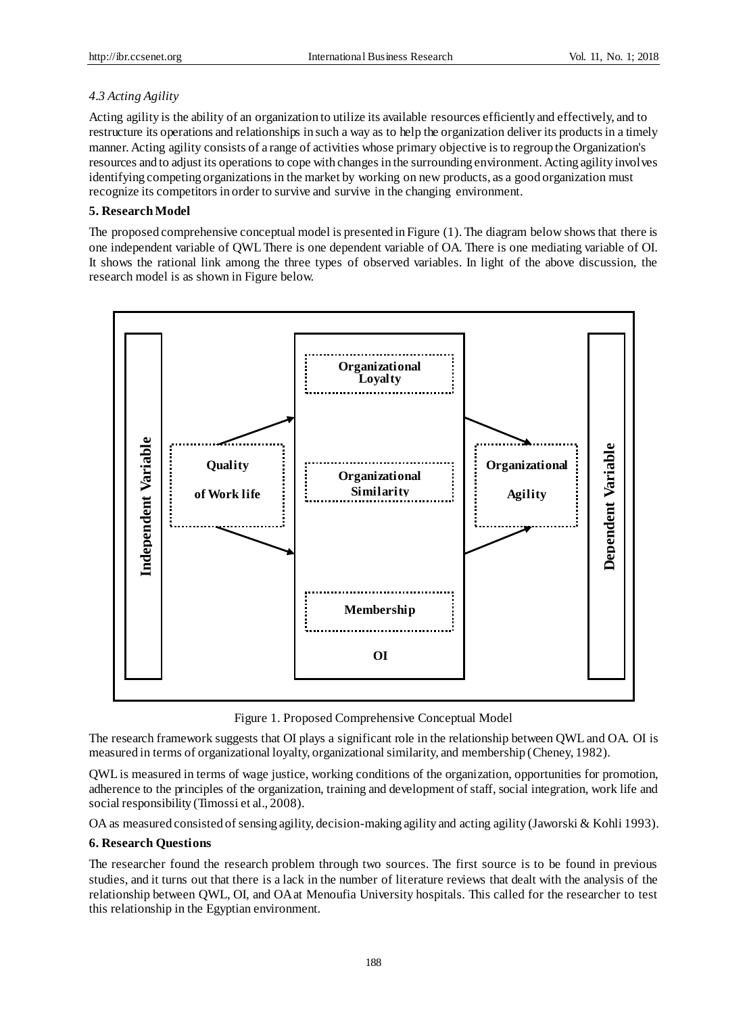# *4.3 Acting Agility*

Acting agility is the ability of an organization to utilize its available resources efficiently and effectively, and to restructure its operations and relationships in such a way as to help the organization deliver its products in a timely manner. Acting agility consists of a range of activities whose primary objective is to regroup the Organization's resources and to adjust its operations to cope with changes in the surrounding environment. Acting agility involves identifying competing organizations in the market by working on new products, as a good organization must recognize its competitors in order to survive and survive in the changing environment.

# **5. Research Model**

The proposed comprehensive conceptual model is presented in Figure (1). The diagram below shows that there is one independent variable of QWL There is one dependent variable of OA. There is one mediating variable of OI. It shows the rational link among the three types of observed variables. In light of the above discussion, the research model is as shown in Figure below.



Figure 1. Proposed Comprehensive Conceptual Model

The research framework suggests that OI plays a significant role in the relationship between QWL and OA. OI is measured in terms of organizational loyalty, organizational similarity, and membership (Cheney, 1982).

QWL is measured in terms of wage justice, working conditions of the organization, opportunities for promotion, adherence to the principles of the organization, training and development of staff, social integration, work life and social responsibility (Timossi et al., 2008).

OA as measured consisted of sensing agility, decision-making agility and acting agility (Jaworski & Kohli 1993).

# **6. Research Questions**

The researcher found the research problem through two sources. The first source is to be found in previous studies, and it turns out that there is a lack in the number of literature reviews that dealt with the analysis of the relationship between QWL, OI, and OA at Menoufia University hospitals. This called for the researcher to test this relationship in the Egyptian environment.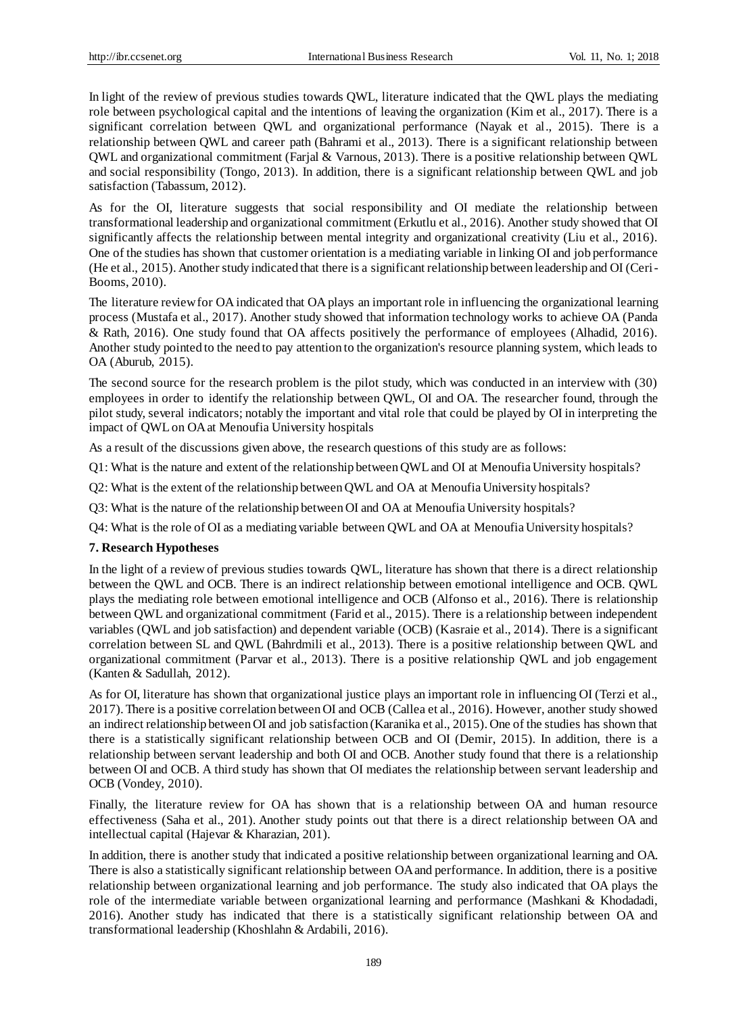In light of the review of previous studies towards QWL, literature indicated that the QWL plays the mediating role between psychological capital and the intentions of leaving the organization (Kim et al., 2017). There is a significant correlation between QWL and organizational performance (Nayak et al., 2015). There is a relationship between QWL and career path (Bahrami et al., 2013). There is a significant relationship between QWL and organizational commitment (Farjal & Varnous, 2013). There is a positive relationship between QWL and social responsibility (Tongo, 2013). In addition, there is a significant relationship between QWL and job satisfaction (Tabassum, 2012).

As for the OI, literature suggests that social responsibility and OI mediate the relationship between transformational leadership and organizational commitment (Erkutlu et al., 2016). Another study showed that OI significantly affects the relationship between mental integrity and organizational creativity (Liu et al., 2016). One of the studies has shown that customer orientation is a mediating variable in linking OI and job performance (He et al., 2015). Another study indicated that there is a significant relationship between leadership and OI (Ceri-Booms, 2010).

The literature review for OA indicated that OA plays an important role in influencing the organizational learning process (Mustafa et al., 2017). Another study showed that information technology works to achieve OA (Panda & Rath, 2016). One study found that OA affects positively the performance of employees (Alhadid, 2016). Another study pointed to the need to pay attention to the organization's resource planning system, which leads to OA (Aburub, 2015).

The second source for the research problem is the pilot study, which was conducted in an interview with (30) employees in order to identify the relationship between QWL, OI and OA. The researcher found, through the pilot study, several indicators; notably the important and vital role that could be played by OI in interpreting the impact of QWL on OA at Menoufia University hospitals

As a result of the discussions given above, the research questions of this study are as follows:

Q1: What is the nature and extent of the relationship between QWL and OI at Menoufia University hospitals?

Q2: What is the extent of the relationship between QWL and OA at Menoufia University hospitals?

Q3: What is the nature of the relationship between OI and OA at Menoufia University hospitals?

Q4: What is the role of OI as a mediating variable between QWL and OA at Menoufia University hospitals?

## **7. Research Hypotheses**

In the light of a review of previous studies towards QWL, literature has shown that there is a direct relationship between the QWL and OCB. There is an indirect relationship between emotional intelligence and OCB. QWL plays the mediating role between emotional intelligence and OCB (Alfonso et al., 2016). There is relationship between QWL and organizational commitment (Farid et al., 2015). There is a relationship between independent variables (QWL and job satisfaction) and dependent variable (OCB) (Kasraie et al., 2014). There is a significant correlation between SL and QWL (Bahrdmili et al., 2013). There is a positive relationship between QWL and organizational commitment (Parvar et al., 2013). There is a positive relationship QWL and job engagement (Kanten & Sadullah, 2012).

As for OI, literature has shown that organizational justice plays an important role in influencing OI (Terzi et al., 2017). There is a positive correlation between OI and OCB (Callea et al., 2016). However, another study showed an indirect relationship between OI and job satisfaction (Karanika et al., 2015). One of the studies has shown that there is a statistically significant relationship between OCB and OI (Demir, 2015). In addition, there is a relationship between servant leadership and both OI and OCB. Another study found that there is a relationship between OI and OCB. A third study has shown that OI mediates the relationship between servant leadership and OCB (Vondey, 2010).

Finally, the literature review for OA has shown that is a relationship between OA and human resource effectiveness (Saha et al., 201). Another study points out that there is a direct relationship between OA and intellectual capital (Hajevar & Kharazian, 201).

In addition, there is another study that indicated a positive relationship between organizational learning and OA. There is also a statistically significant relationship between OA and performance. In addition, there is a positive relationship between organizational learning and job performance. The study also indicated that OA plays the role of the intermediate variable between organizational learning and performance (Mashkani & Khodadadi, 2016). Another study has indicated that there is a statistically significant relationship between OA and transformational leadership (Khoshlahn & Ardabili, 2016).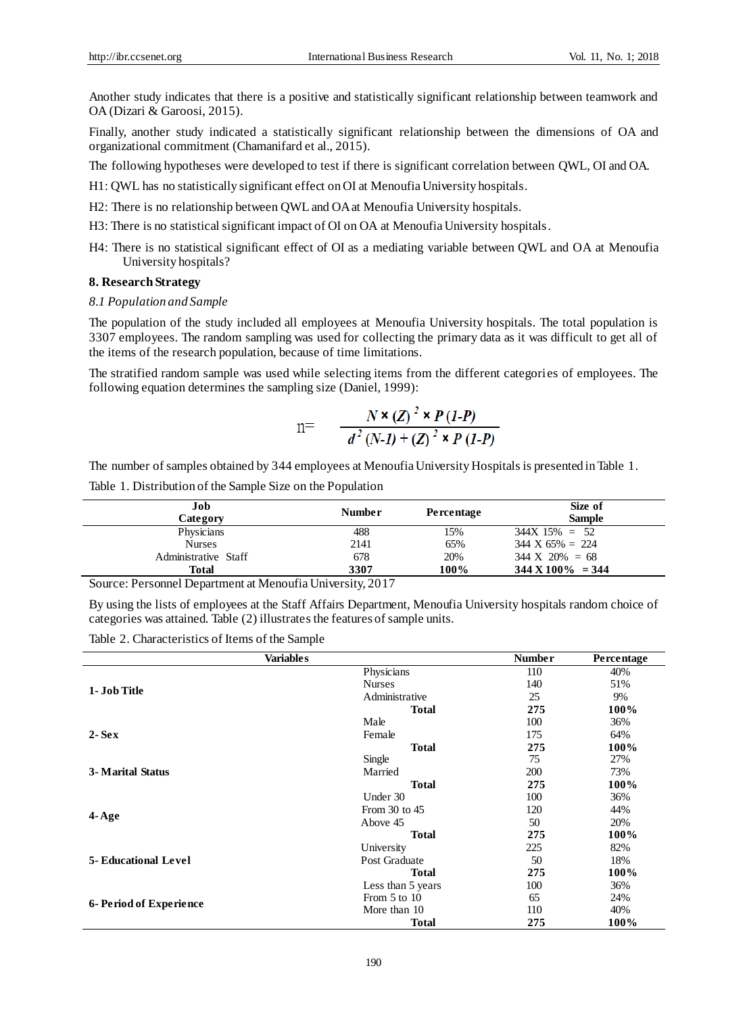Another study indicates that there is a positive and statistically significant relationship between teamwork and OA (Dizari & Garoosi, 2015).

Finally, another study indicated a statistically significant relationship between the dimensions of OA and organizational commitment (Chamanifard et al., 2015).

The following hypotheses were developed to test if there is significant correlation between QWL, OI and OA.

- H1: QWL has no statistically significant effect on OI at Menoufia University hospitals.
- H2: There is no relationship between QWL and OA at Menoufia University hospitals.
- H3: There is no statistical significant impact of OI on OA at Menoufia University hospitals.
- H4: There is no statistical significant effect of OI as a mediating variable between QWL and OA at Menoufia University hospitals?

# **8. Research Strategy**

#### *8.1 Population and Sample*

The population of the study included all employees at Menoufia University hospitals. The total population is 3307 employees. The random sampling was used for collecting the primary data as it was difficult to get all of the items of the research population, because of time limitations.

The stratified random sample was used while selecting items from the different categories of employees. The following equation determines the sampling size (Daniel, 1999):

n=
$$
N \times (Z)^2 \times P(1-P)
$$

$$
d^2 (N-I) + (Z)^2 \times P(1-P)
$$

The number of samples obtained by 344 employees at Menoufia University Hospitals is presented in Table 1.

Table 1. Distribution of the Sample Size on the Population

| Job<br>Category      | <b>Number</b> | Percentage | Size of<br><b>Sample</b>     |
|----------------------|---------------|------------|------------------------------|
| Physicians           | 488           | 15%        | $344X$ 15% = 52              |
| <b>Nurses</b>        | 2141          | 65%        | $344 \text{ X } 65\% = 224$  |
| Administrative Staff | 678           | 20%        | $344 \text{ X } 20\% = 68$   |
| <b>Total</b>         | 3307          | 100%       | $344 \text{ X } 100\% = 344$ |

Source: Personnel Department at Menoufia University, 2017

By using the lists of employees at the Staff Affairs Department, Menoufia University hospitals random choice of categories was attained. Table (2) illustrates the features of sample units.

Table 2. Characteristics of Items of the Sample

| <b>Variables</b>            |                   | <b>Number</b> | Percentage |
|-----------------------------|-------------------|---------------|------------|
|                             | Physicians        | 110           | 40%        |
|                             | <b>Nurses</b>     | 140           | 51%        |
| 1- Job Title                | Administrative    | 25            | 9%         |
|                             | <b>Total</b>      | 275           | 100%       |
|                             | Male              | 100           | 36%        |
| $2-Sex$                     | Female            | 175           | 64%        |
|                             | <b>Total</b>      | 275           | 100%       |
|                             | Single            | 75            | 27%        |
| 3- Marital Status           | Married           | <b>200</b>    | 73%        |
|                             | <b>Total</b>      | 275           | 100%       |
|                             | Under 30          | 100           | 36%        |
|                             | From $30$ to $45$ | 120           | 44%        |
| $4 - Age$                   | Above 45          | 50            | 20%        |
|                             | <b>Total</b>      | 275           | 100%       |
|                             | University        | 225           | 82%        |
| <b>5- Educational Level</b> | Post Graduate     | 50            | 18%        |
|                             | <b>Total</b>      | 275           | 100%       |
|                             | Less than 5 years | 100           | 36%        |
|                             | From $5$ to $10$  | 65            | 24%        |
| 6- Period of Experience     | More than 10      | 110           | 40%        |
|                             | Total             | 275           | 100%       |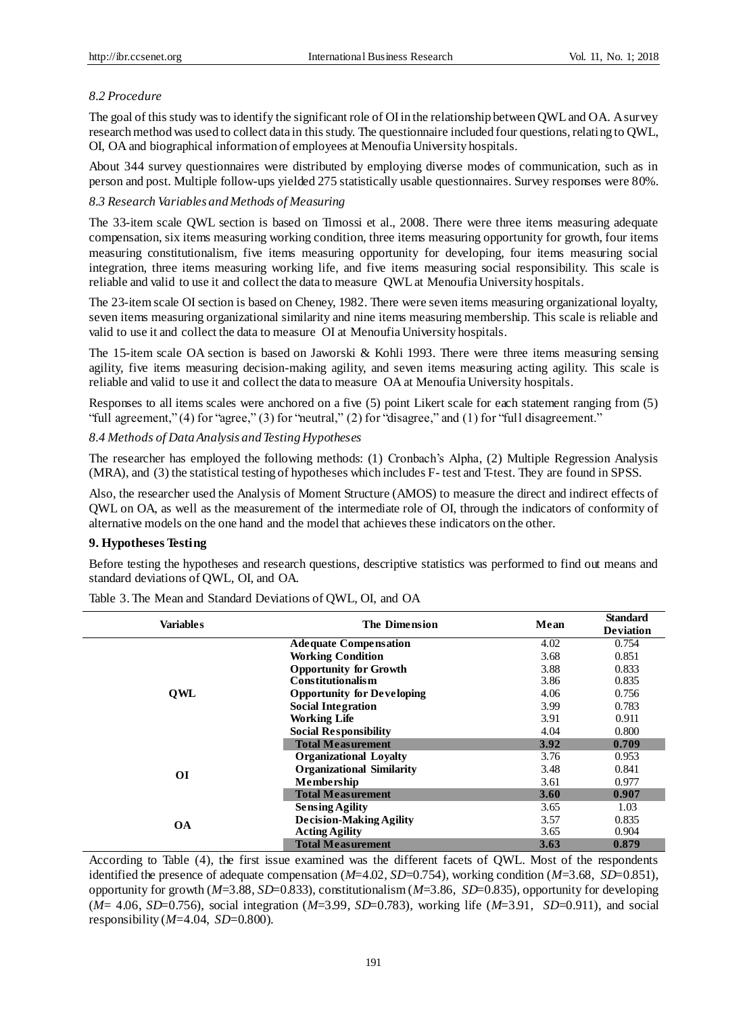## *8.2 Procedure*

The goal of this study was to identify the significant role of OI in the relationship between QWL and OA. A survey research method was used to collect data in this study. The questionnaire included four questions, relating to QWL, OI, OA and biographical information of employees at Menoufia University hospitals.

About 344 survey questionnaires were distributed by employing diverse modes of communication, such as in person and post. Multiple follow-ups yielded 275 statistically usable questionnaires. Survey responses were 80%.

#### *8.3 Research Variables and Methods of Measuring*

The 33-item scale QWL section is based on Timossi et al., 2008. There were three items measuring adequate compensation, six items measuring working condition, three items measuring opportunity for growth, four items measuring constitutionalism, five items measuring opportunity for developing, four items measuring social integration, three items measuring working life, and five items measuring social responsibility. This scale is reliable and valid to use it and collect the data to measure QWL at Menoufia University hospitals.

The 23-item scale OI section is based on Cheney, 1982. There were seven items measuring organizational loyalty, seven items measuring organizational similarity and nine items measuring membership. This scale is reliable and valid to use it and collect the data to measure OI at Menoufia University hospitals.

The 15-item scale OA section is based on Jaworski & Kohli 1993. There were three items measuring sensing agility, five items measuring decision-making agility, and seven items measuring acting agility. This scale is reliable and valid to use it and collect the data to measure OA at Menoufia University hospitals.

Responses to all items scales were anchored on a five (5) point Likert scale for each statement ranging from (5) "full agreement," (4) for "agree," (3) for "neutral," (2) for "disagree," and (1) for "full disagreement."

#### *8.4 Methods of Data Analysis and Testing Hypotheses*

The researcher has employed the following methods: (1) Cronbach's Alpha, (2) Multiple Regression Analysis (MRA), and (3) the statistical testing of hypotheses which includes F- test and T-test. They are found in SPSS.

Also, the researcher used the Analysis of Moment Structure (AMOS) to measure the direct and indirect effects of QWL on OA, as well as the measurement of the intermediate role of OI, through the indicators of conformity of alternative models on the one hand and the model that achieves these indicators on the other.

#### **9. Hypotheses Testing**

Before testing the hypotheses and research questions, descriptive statistics was performed to find out means and standard deviations of QWL, OI, and OA.

| <b>Variables</b> | The Dimension                     | Mean | <b>Standard</b>  |
|------------------|-----------------------------------|------|------------------|
|                  |                                   |      | <b>Deviation</b> |
|                  | <b>Adequate Compensation</b>      | 4.02 | 0.754            |
|                  | <b>Working Condition</b>          | 3.68 | 0.851            |
|                  | <b>Opportunity for Growth</b>     | 3.88 | 0.833            |
|                  | <b>Constitutionalism</b>          | 3.86 | 0.835            |
| QWL              | <b>Opportunity for Developing</b> | 4.06 | 0.756            |
|                  | <b>Social Integration</b>         | 3.99 | 0.783            |
|                  | <b>Working Life</b>               | 3.91 | 0.911            |
|                  | <b>Social Responsibility</b>      | 4.04 | 0.800            |
|                  | <b>Total Measurement</b>          | 3.92 | 0.709            |
|                  | <b>Organizational Loyalty</b>     | 3.76 | 0.953            |
| ОI               | <b>Organizational Similarity</b>  | 3.48 | 0.841            |
|                  | Membership                        | 3.61 | 0.977            |
|                  | <b>Total Measurement</b>          | 3.60 | 0.907            |
|                  | <b>Sensing Agility</b>            | 3.65 | 1.03             |
| <b>OA</b>        | <b>Decision-Making Agility</b>    | 3.57 | 0.835            |
|                  | <b>Acting Agility</b>             | 3.65 | 0.904            |
|                  | <b>Total Measurement</b>          | 3.63 | 0.879            |

Table 3. The Mean and Standard Deviations of QWL, OI, and OA

According to Table (4), the first issue examined was the different facets of QWL. Most of the respondents identified the presence of adequate compensation (*M*=4.02, *SD*=0.754), working condition (*M*=3.68, *SD*=0.851), opportunity for growth (*M*=3.88, *SD*=0.833), constitutionalism (*M*=3.86, *SD*=0.835), opportunity for developing (*M*= 4.06, *SD*=0.756), social integration (*M*=3.99, *SD*=0.783), working life (*M*=3.91, *SD*=0.911), and social responsibility (*M*=4.04, *SD*=0.800).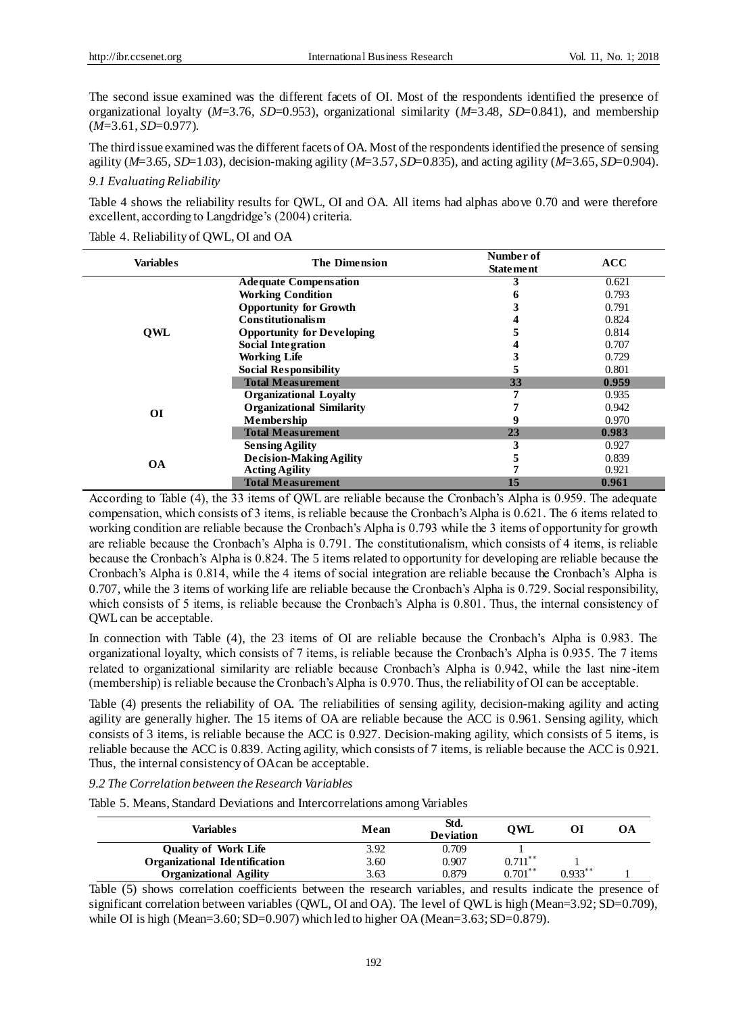The second issue examined was the different facets of OI. Most of the respondents identified the presence of organizational loyalty (*M*=3.76, *SD*=0.953), organizational similarity (*M*=3.48, *SD*=0.841), and membership (*M*=3.61, *SD*=0.977).

The third issue examined was the different facets of OA. Most of the respondents identified the presence of sensing agility (*M*=3.65, *SD*=1.03), decision-making agility (*M*=3.57, *SD*=0.835), and acting agility (*M*=3.65, *SD*=0.904).

## *9.1 Evaluating Reliability*

Table 4 shows the reliability results for QWL, OI and OA. All items had alphas above 0.70 and were therefore excellent, according to Langdridge's (2004) criteria.

|           | <b>Variables</b><br><b>The Dimension</b> |                  |            |
|-----------|------------------------------------------|------------------|------------|
|           |                                          | <b>Statement</b> | <b>ACC</b> |
|           | <b>Adequate Compensation</b>             |                  | 0.621      |
|           | <b>Working Condition</b>                 |                  | 0.793      |
|           | <b>Opportunity for Growth</b>            |                  | 0.791      |
|           | <b>Constitutionalism</b>                 |                  | 0.824      |
| OWL       | <b>Opportunity for Developing</b>        |                  | 0.814      |
|           | <b>Social Integration</b>                |                  | 0.707      |
|           | <b>Working Life</b>                      |                  | 0.729      |
|           | <b>Social Responsibility</b>             | э                | 0.801      |
|           | <b>Total Measurement</b>                 | 33               | 0.959      |
|           | <b>Organizational Loyalty</b>            |                  | 0.935      |
| <b>OI</b> | <b>Organizational Similarity</b>         |                  | 0.942      |
|           | <b>Membership</b>                        |                  | 0.970      |
|           | <b>Total Measurement</b>                 | 23               | 0.983      |
|           | <b>Sensing Agility</b>                   |                  | 0.927      |
| <b>OA</b> | <b>Decision-Making Agility</b>           |                  | 0.839      |
|           | <b>Acting Agility</b>                    |                  | 0.921      |
|           | <b>Total Measurement</b>                 | 15               | 0.961      |

Table 4. Reliability of QWL, OI and OA

According to Table (4), the 33 items of QWL are reliable because the Cronbach's Alpha is 0.959. The adequate compensation, which consists of 3 items, is reliable because the Cronbach's Alpha is 0.621. The 6 items related to working condition are reliable because the Cronbach's Alpha is 0.793 while the 3 items of opportunity for growth are reliable because the Cronbach's Alpha is 0.791. The constitutionalism, which consists of 4 items, is reliable because the Cronbach's Alpha is 0.824. The 5 items related to opportunity for developing are reliable because the Cronbach's Alpha is 0.814, while the 4 items of social integration are reliable because the Cronbach's Alpha is 0.707, while the 3 items of working life are reliable because the Cronbach's Alpha is 0.729. Social responsibility, which consists of 5 items, is reliable because the Cronbach's Alpha is 0.801. Thus, the internal consistency of QWL can be acceptable.

In connection with Table (4), the 23 items of OI are reliable because the Cronbach's Alpha is 0.983. The organizational loyalty, which consists of 7 items, is reliable because the Cronbach's Alpha is 0.935. The 7 items related to organizational similarity are reliable because Cronbach's Alpha is 0.942, while the last nine -item (membership) is reliable because the Cronbach's Alpha is 0.970. Thus, the reliability of OI can be acceptable.

Table (4) presents the reliability of OA. The reliabilities of sensing agility, decision-making agility and acting agility are generally higher. The 15 items of OA are reliable because the ACC is 0.961. Sensing agility, which consists of 3 items, is reliable because the ACC is 0.927. Decision-making agility, which consists of 5 items, is reliable because the ACC is 0.839. Acting agility, which consists of 7 items, is reliable because the ACC is 0.921. Thus, the internal consistency of OA can be acceptable.

*9.2 The Correlation between the Research Variables*

Table 5. Means, Standard Deviations and Intercorrelations among Variables

| Variables                            | Mean | Std.<br><b>Deviation</b> | OWL        |           | OА |
|--------------------------------------|------|--------------------------|------------|-----------|----|
| <b>Ouality of Work Life</b>          | 3.92 | 0.709                    |            |           |    |
| <b>Organizational Identification</b> | 3.60 | 0.907                    | $0.711***$ |           |    |
| <b>Organizational Agility</b>        | 3.63 | 0.879                    | $0.701***$ | $0.933**$ |    |

Table (5) shows correlation coefficients between the research variables, and results indicate the presence of significant correlation between variables (QWL, OI and OA). The level of QWL is high (Mean=3.92; SD=0.709), while OI is high (Mean= $3.60$ ; SD= $0.907$ ) which led to higher OA (Mean= $3.63$ ; SD= $0.879$ ).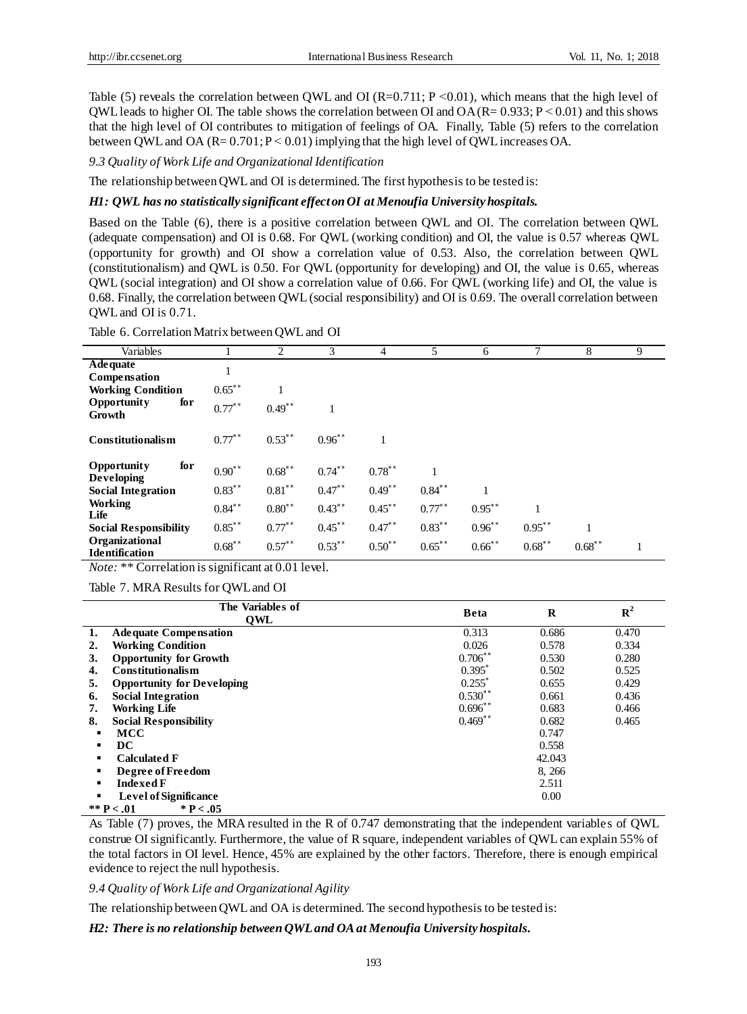Table (5) reveals the correlation between QWL and OI (R=0.711; P < 0.01), which means that the high level of QWL leads to higher OI. The table shows the correlation between OI and  $OA (R = 0.933; P \le 0.01)$  and this shows that the high level of OI contributes to mitigation of feelings of OA. Finally, Table (5) refers to the correlation between QWL and OA  $(R= 0.701; P < 0.01)$  implying that the high level of QWL increases OA.

*9.3 Quality of Work Life and Organizational Identification*

The relationship between QWL and OI is determined. The first hypothesis to be tested is:

#### *H1: QWL has no statistically significant effect on OI at Menoufia University hospitals.*

Based on the Table (6), there is a positive correlation between QWL and OI. The correlation between QWL (adequate compensation) and OI is 0.68. For QWL (working condition) and OI, the value is 0.57 whereas QWL (opportunity for growth) and OI show a correlation value of 0.53. Also, the correlation between QWL (constitutionalism) and QWL is 0.50. For QWL (opportunity for developing) and OI, the value is 0.65, whereas QWL (social integration) and OI show a correlation value of 0.66. For QWL (working life) and OI, the value is 0.68. Finally, the correlation between QWL (social responsibility) and OI is 0.69. The overall correlation between QWL and OI is 0.71.

| Variables                                      |           | 2           | 3         | 4           | 5         | 6         | 7         | 8         | 9 |
|------------------------------------------------|-----------|-------------|-----------|-------------|-----------|-----------|-----------|-----------|---|
| <b>Adequate</b><br>Compensation                | 1         |             |           |             |           |           |           |           |   |
| <b>Working Condition</b>                       | $0.65$ ** |             |           |             |           |           |           |           |   |
| <b>Opportunity</b><br>for<br>Growth            | $0.77***$ | $0.49$ **   |           |             |           |           |           |           |   |
| <b>Constitutionalism</b>                       | $0.77***$ | $0.53***$   | $0.96$ ** |             |           |           |           |           |   |
| for<br><b>Opportunity</b><br><b>Developing</b> | $0.90**$  | $0.68$ **   | $0.74***$ | $0.78$ **   |           |           |           |           |   |
| <b>Social Integration</b>                      | $0.83***$ | $0.81***$   | $0.47***$ | $0.49**$    | $0.84***$ |           |           |           |   |
| Working<br>Life                                | $0.84***$ | $0.80^{**}$ | $0.43***$ | $0.45***$   | $0.77***$ | $0.95***$ |           |           |   |
| <b>Social Responsibility</b>                   | $0.85***$ | $0.77***$   | $0.45***$ | $0.47**$    | $0.83***$ | $0.96***$ | $0.95***$ |           |   |
| Organizational<br><b>Identification</b>        | $0.68***$ | $0.57$ **   | $0.53***$ | $0.50^{**}$ | $0.65***$ | $0.66$ ** | $0.68***$ | $0.68***$ | 1 |

*Note:* \*\* Correlation is significant at 0.01 level.

Table 7. MRA Results for QWL and OI

|                                | The Variables of<br>OWL           | <b>Beta</b>          | R      | ${\bf R}^2$ |  |
|--------------------------------|-----------------------------------|----------------------|--------|-------------|--|
| 1.                             | <b>Adequate Compensation</b>      | 0.313                | 0.686  | 0.470       |  |
| 2.                             | <b>Working Condition</b>          | 0.026                | 0.578  | 0.334       |  |
| 3.                             | <b>Opportunity for Growth</b>     | $0.706$ **           | 0.530  | 0.280       |  |
| 4.                             | <b>Constitutionalism</b>          | $0.395^*$            | 0.502  | 0.525       |  |
| 5.                             | <b>Opportunity for Developing</b> | $0.255$ <sup>*</sup> | 0.655  | 0.429       |  |
| 6.                             | <b>Social Integration</b>         | $0.530**$            | 0.661  | 0.436       |  |
| 7.                             | <b>Working Life</b>               | $0.696^{**}$         | 0.683  | 0.466       |  |
| 8.                             | <b>Social Responsibility</b>      | $0.469**$            | 0.682  | 0.465       |  |
|                                | <b>MCC</b>                        |                      | 0.747  |             |  |
|                                | DC                                |                      | 0.558  |             |  |
|                                | <b>Calculated F</b>               |                      | 42.043 |             |  |
|                                | Degree of Freedom                 |                      | 8, 266 |             |  |
| <b>Indexed F</b><br>2.511<br>٠ |                                   |                      |        |             |  |
|                                | <b>Level of Significance</b>      |                      | 0.00   |             |  |
|                                | ** $P < .01$<br>* $P < .05$       |                      |        |             |  |

As Table (7) proves, the MRA resulted in the R of 0.747 demonstrating that the independent variables of QWL construe OI significantly. Furthermore, the value of R square, independent variables of QWL can explain 55% of the total factors in OI level. Hence, 45% are explained by the other factors. Therefore, there is enough empirical evidence to reject the null hypothesis.

*9.4 Quality of Work Life and Organizational Agility*

The relationship between QWL and OA is determined. The second hypothesis to be tested is:

*H2: There is no relationship between QWLand OA at Menoufia University hospitals.*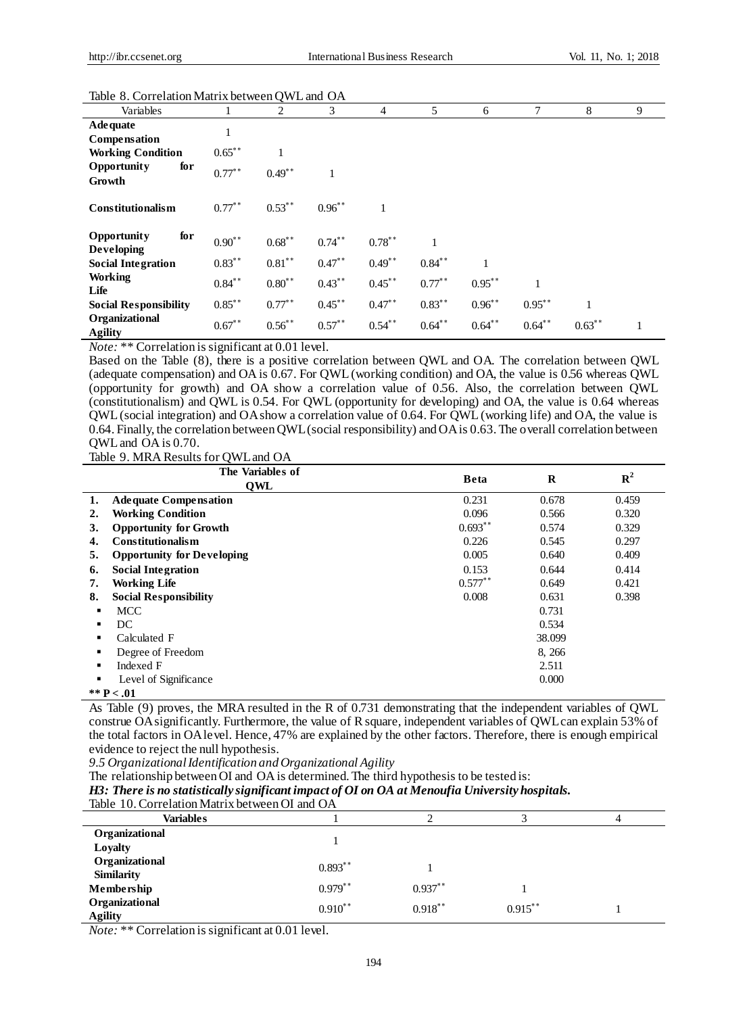| habit 0. Correlation matrix between Q 11 E and OTT |           |             |             |           |           |           |              |           |   |
|----------------------------------------------------|-----------|-------------|-------------|-----------|-----------|-----------|--------------|-----------|---|
| Variables                                          |           | 2           | 3           | 4         | 5         | 6         | 7            | 8         | 9 |
| <b>Adequate</b><br>Compensation                    | 1         |             |             |           |           |           |              |           |   |
| <b>Working Condition</b>                           | $0.65***$ |             |             |           |           |           |              |           |   |
| for<br>Opportunity<br>Growth                       | $0.77***$ | $0.49**$    |             |           |           |           |              |           |   |
| <b>Constitutionalism</b>                           | $0.77***$ | $0.53***$   | $0.96^{**}$ |           |           |           |              |           |   |
| for<br><b>Opportunity</b><br><b>Developing</b>     | $0.90**$  | $0.68$ **   | $0.74***$   | $0.78***$ |           |           |              |           |   |
| <b>Social Integration</b>                          | $0.83***$ | $0.81***$   | $0.47$ **   | $0.49$ ** | $0.84$ ** |           |              |           |   |
| Working<br>Life                                    | $0.84***$ | $0.80^{**}$ | $0.43***$   | $0.45***$ | $0.77***$ | $0.95***$ | $\mathbf{1}$ |           |   |
| <b>Social Responsibility</b>                       | $0.85***$ | $0.77***$   | $0.45***$   | $0.47**$  | $0.83***$ | $0.96***$ | $0.95***$    |           |   |
| Organizational<br><b>Agility</b>                   | $0.67**$  | $0.56^{**}$ | $0.57**$    | $0.54***$ | $0.64***$ | $0.64***$ | $0.64***$    | $0.63***$ |   |

#### Table 8. Correlation Matrix between QWL and OA

*Note:* \*\* Correlation is significant at 0.01 level.

Based on the Table (8), there is a positive correlation between QWL and OA. The correlation between QWL (adequate compensation) and OA is 0.67. For QWL (working condition) and OA, the value is 0.56 whereas QWL (opportunity for growth) and OA show a correlation value of 0.56. Also, the correlation between QWL (constitutionalism) and QWL is 0.54. For QWL (opportunity for developing) and OA, the value is 0.64 whereas QWL (social integration) and OA show a correlation value of 0.64. For QWL (working life) and OA, the value is 0.64. Finally, the correlation between QWL (social responsibility) and OA is 0.63. The overall correlation between QWL and OA is 0.70.

Table 9. MRA Results for QWL and OA

|    | The Variables of<br>OWL           | <b>Beta</b> | $\bf{R}$ | ${\bf R}^2$ |
|----|-----------------------------------|-------------|----------|-------------|
| 1. | <b>Adequate Compensation</b>      | 0.231       | 0.678    | 0.459       |
| 2. | <b>Working Condition</b>          | 0.096       | 0.566    | 0.320       |
| 3. | <b>Opportunity for Growth</b>     | $0.693**$   | 0.574    | 0.329       |
| 4. | <b>Constitutionalism</b>          | 0.226       | 0.545    | 0.297       |
| 5. | <b>Opportunity for Developing</b> | 0.005       | 0.640    | 0.409       |
| 6. | <b>Social Integration</b>         | 0.153       | 0.644    | 0.414       |
| 7. | <b>Working Life</b>               | $0.577$ **  | 0.649    | 0.421       |
| 8. | <b>Social Responsibility</b>      | 0.008       | 0.631    | 0.398       |
|    | <b>MCC</b>                        |             | 0.731    |             |
|    | DC                                |             | 0.534    |             |
|    | Calculated F                      |             | 38.099   |             |
|    | Degree of Freedom                 |             | 8, 266   |             |
| ٠  | Indexed F                         |             | 2.511    |             |
|    | Level of Significance             |             | 0.000    |             |
|    | ** $P < .01$                      |             |          |             |

As Table (9) proves, the MRA resulted in the R of 0.731 demonstrating that the independent variables of QWL construe OA significantly. Furthermore, the value of R square, independent variables of QWL can explain 53% of the total factors in OA level. Hence, 47% are explained by the other factors. Therefore, there is enough empirical evidence to reject the null hypothesis.

*9.5 Organizational Identification and Organizational Agility*

The relationship between OI and OA is determined. The third hypothesis to be tested is:

*H3: There is no statistically significant impact of OI on OA at Menoufia University hospitals.* Table 10. Correlation Matrix b

| Table 10. Correlation Matrix between O1 and OA |           |            |            |  |  |
|------------------------------------------------|-----------|------------|------------|--|--|
| Variables                                      |           |            |            |  |  |
| Organizational                                 |           |            |            |  |  |
| Loyalty                                        |           |            |            |  |  |
| Organizational                                 | $0.893**$ |            |            |  |  |
| <b>Similarity</b>                              |           |            |            |  |  |
| Membership                                     | $0.979**$ | $0.937**$  |            |  |  |
| Organizational                                 | $0.910**$ | $0.918***$ | $0.915***$ |  |  |
| <b>Agility</b>                                 |           |            |            |  |  |

*Note:* \*\* Correlation is significant at 0.01 level.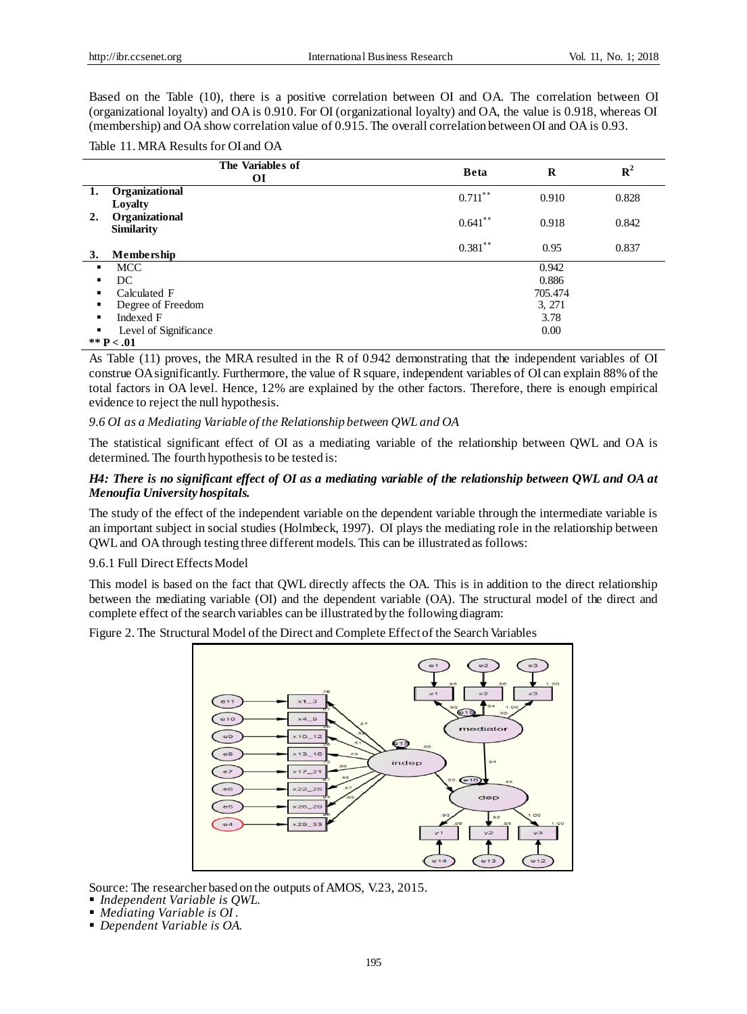Based on the Table (10), there is a positive correlation between OI and OA. The correlation between OI (organizational loyalty) and OA is 0.910. For OI (organizational loyalty) and OA, the value is 0.918, whereas OI (membership) and OA show correlation value of 0.915. The overall correlation between OI and OA is 0.93.

Table 11. MRA Results for OI and OA

|    | The Variables of<br>ОI              | <b>Beta</b> | $\bf{R}$ | ${\bf R}^2$ |
|----|-------------------------------------|-------------|----------|-------------|
| 1. | Organizational<br>Loyalty           | $0.711***$  | 0.910    | 0.828       |
| 2. | Organizational<br><b>Similarity</b> | $0.641$ **  | 0.918    | 0.842       |
| 3. | Membership                          | $0.381***$  | 0.95     | 0.837       |
| п. | <b>MCC</b>                          |             | 0.942    |             |
| ٠  | DC                                  |             | 0.886    |             |
| ٠  | Calculated F                        |             | 705.474  |             |
| ٠  | Degree of Freedom                   |             | 3, 271   |             |
| ٠  | Indexed F                           |             | 3.78     |             |
| ٠  | Level of Significance               |             | 0.00     |             |
|    | ** $P < .01$                        |             |          |             |

As Table (11) proves, the MRA resulted in the R of 0.942 demonstrating that the independent variables of OI construe OA significantly. Furthermore, the value of R square, independent variables of OI can explain 88% of the total factors in OA level. Hence, 12% are explained by the other factors. Therefore, there is enough empirical evidence to reject the null hypothesis.

## *9.6 OI as a Mediating Variable of the Relationship between QWL and OA*

The statistical significant effect of OI as a mediating variable of the relationship between QWL and OA is determined. The fourth hypothesis to be tested is:

# *H4: There is no significant effect of OI as a mediating variable of the relationship between QWL and OA at Menoufia University hospitals.*

The study of the effect of the independent variable on the dependent variable through the intermediate variable is an important subject in social studies (Holmbeck, 1997). OI plays the mediating role in the relationship between QWL and OA through testing three different models. This can be illustrated as follows:

## 9.6.1 Full Direct Effects Model

This model is based on the fact that QWL directly affects the OA. This is in addition to the direct relationship between the mediating variable (OI) and the dependent variable (OA). The structural model of the direct and complete effect of the search variables can be illustrated by the following diagram:

Figure 2. The Structural Model of the Direct and Complete Effect of the Search Variables



Source: The researcher based on the outputs of AMOS, V.23, 2015.

- *Independent Variable is QWL.*
- *Mediating Variable is OI .*
- *Dependent Variable is OA.*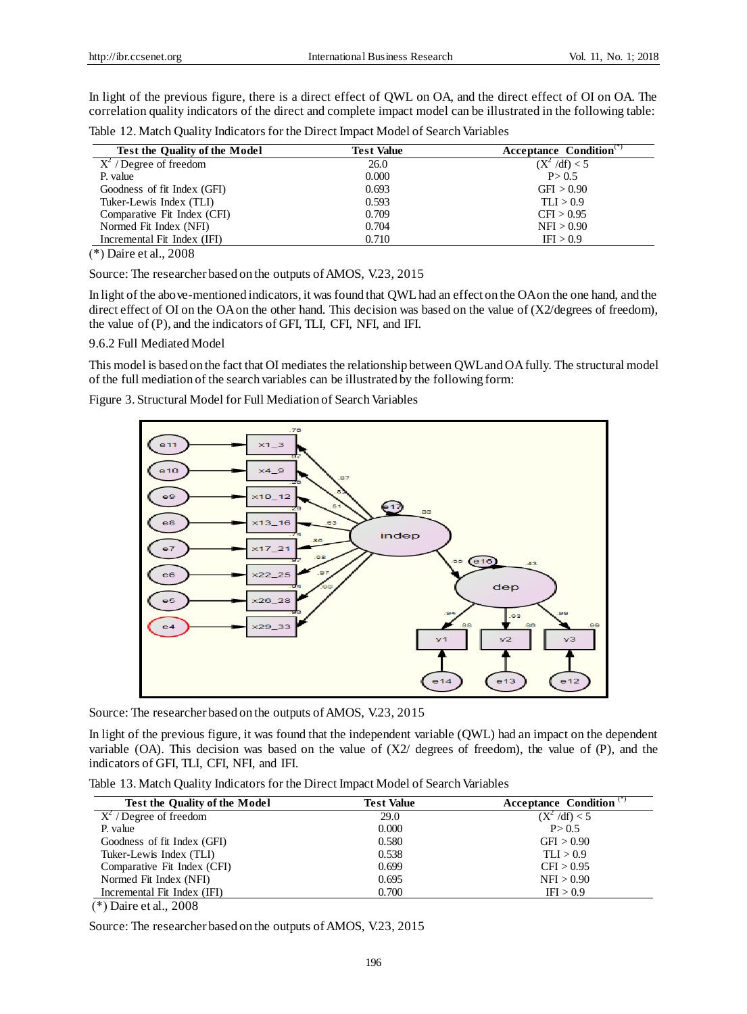In light of the previous figure, there is a direct effect of QWL on OA, and the direct effect of OI on OA. The correlation quality indicators of the direct and complete impact model can be illustrated in the following table:

Table 12. Match Quality Indicators for the Direct Impact Model of Search Variables

| <b>Test the Quality of the Model</b> | <b>Test Value</b> | Acceptance Condition $\binom{1}{1}$ |  |
|--------------------------------------|-------------------|-------------------------------------|--|
| $X^2$ / Degree of freedom            | 26.0              | $(X^2 / df) < 5$                    |  |
| P. value                             | 0.000             | P > 0.5                             |  |
| Goodness of fit Index (GFI)          | 0.693             | GFI > 0.90                          |  |
| Tuker-Lewis Index (TLI)              | 0.593             | TLI > 0.9                           |  |
| Comparative Fit Index (CFI)          | 0.709             | CFI > 0.95                          |  |
| Normed Fit Index (NFI)               | 0.704             | NFI > 0.90                          |  |
| Incremental Fit Index (IFI)          | 0.710             | IFI > 0.9                           |  |

 $(*)$  Daire et al., 2008

Source: The researcher based on the outputs of AMOS, V.23, 2015

In light of the above-mentioned indicators, it was found that QWL had an effect on the OA on the one hand, and the direct effect of OI on the OA on the other hand. This decision was based on the value of (X2/degrees of freedom), the value of (P), and the indicators of GFI, TLI, CFI, NFI, and IFI.

#### 9.6.2 Full Mediated Model

This model is based on the fact that OI mediates the relationship between QWL and OA fully. The structural model of the full mediation of the search variables can be illustrated by the following form:

Figure 3. Structural Model for Full Mediation of Search Variables



Source: The researcher based on the outputs of AMOS, V.23, 2015

In light of the previous figure, it was found that the independent variable (QWL) had an impact on the dependent variable  $(OA)$ . This decision was based on the value of  $(X2/$  degrees of freedom), the value of  $(P)$ , and the indicators of GFI, TLI, CFI, NFI, and IFI.

Table 13. Match Quality Indicators for the Direct Impact Model of Search Variables

| <b>Test the Quality of the Model</b>  | <b>Test Value</b> | Acceptance Condition <sup>(*)</sup> |
|---------------------------------------|-------------------|-------------------------------------|
| $\overline{X^2 / D}$ egree of freedom | 29.0              | $(X^2 / df) < 5$                    |
| P. value                              | 0.000             | P > 0.5                             |
| Goodness of fit Index (GFI)           | 0.580             | GFI > 0.90                          |
| Tuker-Lewis Index (TLI)               | 0.538             | TLI > 0.9                           |
| Comparative Fit Index (CFI)           | 0.699             | CFI > 0.95                          |
| Normed Fit Index (NFI)                | 0.695             | NFI > 0.90                          |
| Incremental Fit Index (IFI)           | 0.700             | IFI > 0.9                           |
| $(*)$ Daire et al., 2008              |                   |                                     |

Source: The researcher based on the outputs of AMOS, V.23, 2015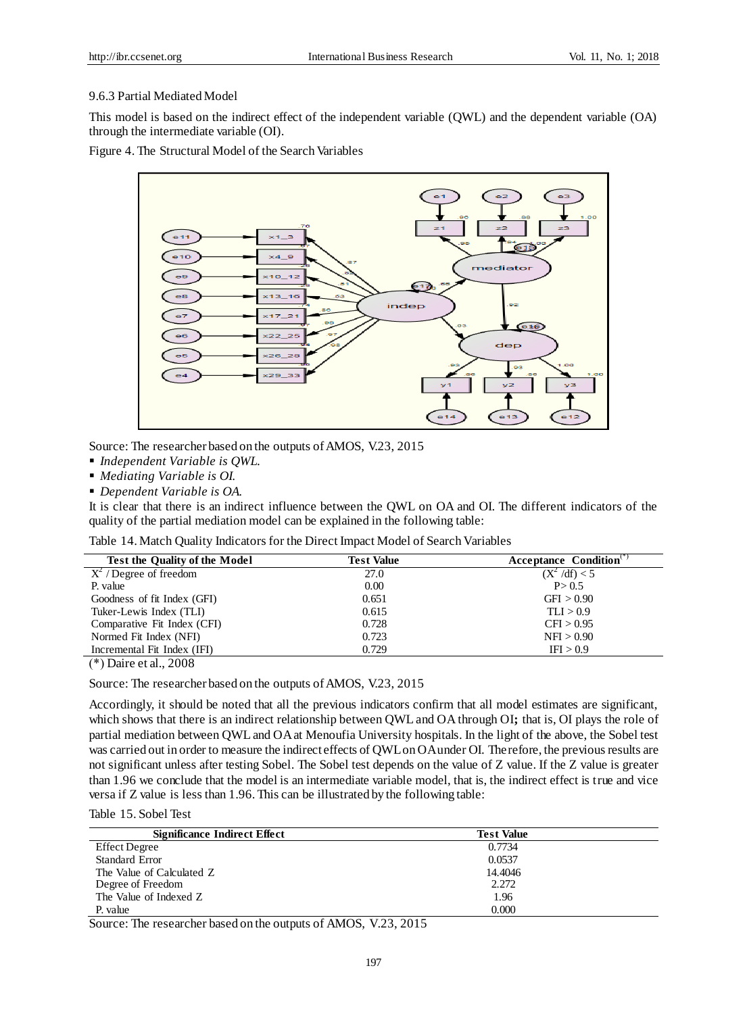## 9.6.3 Partial Mediated Model

This model is based on the indirect effect of the independent variable (QWL) and the dependent variable (OA) through the intermediate variable (OI).

Figure 4. The Structural Model of the Search Variables



Source: The researcher based on the outputs of AMOS, V.23, 2015

*Independent Variable is QWL.*

*Mediating Variable is OI.* 

*Dependent Variable is OA.* 

It is clear that there is an indirect influence between the QWL on OA and OI. The different indicators of the quality of the partial mediation model can be explained in the following table:

| Table 14. Match Quality Indicators for the Direct Impact Model of Search Variables |  |
|------------------------------------------------------------------------------------|--|
|------------------------------------------------------------------------------------|--|

| <b>Test the Quality of the Model</b> | <b>Test Value</b> | Acceptance Condition <sup>®</sup> |
|--------------------------------------|-------------------|-----------------------------------|
| $X^2$ / Degree of freedom            | 27.0              | $(X^2 / df) < 5$                  |
| P. value                             | 0.00              | P > 0.5                           |
| Goodness of fit Index (GFI)          | 0.651             | GFI > 0.90                        |
| Tuker-Lewis Index (TLI)              | 0.615             | TLI > 0.9                         |
| Comparative Fit Index (CFI)          | 0.728             | CFI > 0.95                        |
| Normed Fit Index (NFI)               | 0.723             | NFI > 0.90                        |
| Incremental Fit Index (IFI)          | 0.729             | IFI > 0.9                         |
|                                      |                   |                                   |

(\*) Daire et al., 2008

Source: The researcher based on the outputs of AMOS, V.23, 2015

Accordingly, it should be noted that all the previous indicators confirm that all model estimates are significant, which shows that there is an indirect relationship between QWL and OA through OI; that is, OI plays the role of partial mediation between QWL and OA at Menoufia University hospitals. In the light of the above, the Sobel test was carried out in order to measure the indirect effects of QWL on OA under OI. Therefore, the previous results are not significant unless after testing Sobel. The Sobel test depends on the value of Z value. If the Z value is greater than 1.96 we conclude that the model is an intermediate variable model, that is, the indirect effect is true and vice versa if Z value is less than 1.96. This can be illustrated by the following table:

Table 15. Sobel Test

| <b>Test Value</b> |  |
|-------------------|--|
| 0.7734            |  |
| 0.0537            |  |
| 14.4046           |  |
| 2.272             |  |
| 1.96              |  |
| 0.000             |  |
|                   |  |

Source: The researcher based on the outputs of AMOS, V.23, 2015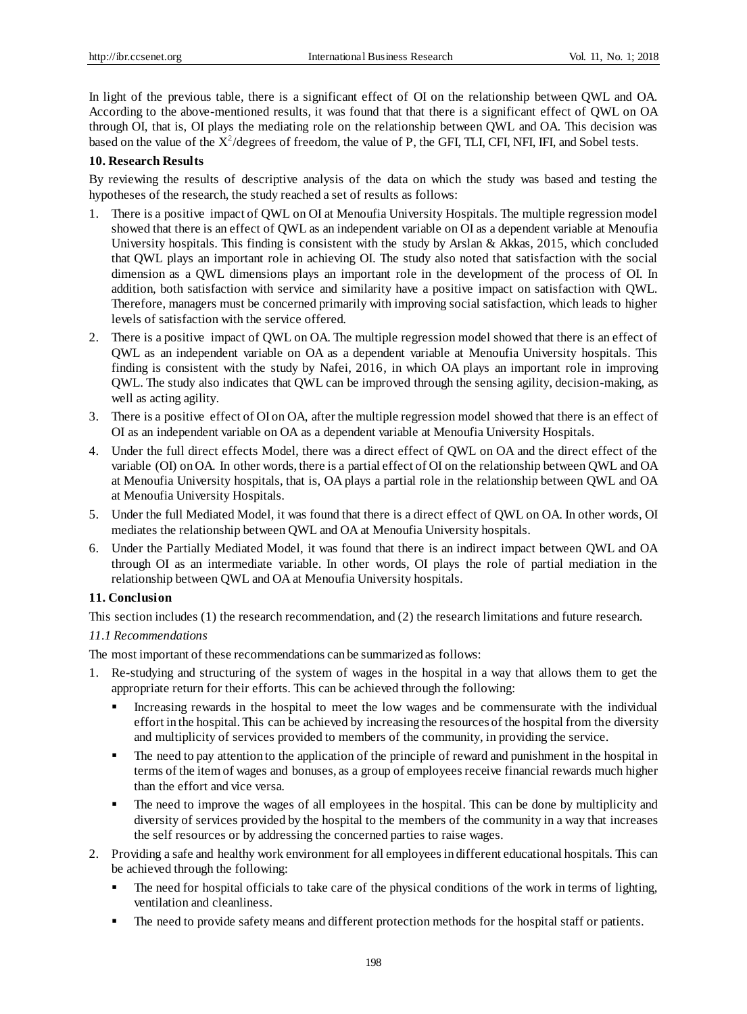In light of the previous table, there is a significant effect of OI on the relationship between QWL and OA. According to the above-mentioned results, it was found that that there is a significant effect of QWL on OA through OI, that is, OI plays the mediating role on the relationship between QWL and OA. This decision was based on the value of the  $X^2$ /degrees of freedom, the value of P, the GFI, TLI, CFI, NFI, IFI, and Sobel tests.

# **10. Research Results**

By reviewing the results of descriptive analysis of the data on which the study was based and testing the hypotheses of the research, the study reached a set of results as follows:

- 1. There is a positive impact of QWL on OI at Menoufia University Hospitals. The multiple regression model showed that there is an effect of QWL as an independent variable on OI as a dependent variable at Menoufia University hospitals. This finding is consistent with the study by Arslan & Akkas, 2015, which concluded that QWL plays an important role in achieving OI. The study also noted that satisfaction with the social dimension as a QWL dimensions plays an important role in the development of the process of OI. In addition, both satisfaction with service and similarity have a positive impact on satisfaction with QWL. Therefore, managers must be concerned primarily with improving social satisfaction, which leads to higher levels of satisfaction with the service offered.
- 2. There is a positive impact of QWL on OA. The multiple regression model showed that there is an effect of QWL as an independent variable on OA as a dependent variable at Menoufia University hospitals. This finding is consistent with the study by Nafei, 2016, in which OA plays an important role in improving QWL. The study also indicates that QWL can be improved through the sensing agility, decision-making, as well as acting agility.
- 3. There is a positive effect of OI on OA, after the multiple regression model showed that there is an effect of OI as an independent variable on OA as a dependent variable at Menoufia University Hospitals.
- 4. Under the full direct effects Model, there was a direct effect of QWL on OA and the direct effect of the variable (OI) on OA. In other words, there is a partial effect of OI on the relationship between QWL and OA at Menoufia University hospitals, that is, OA plays a partial role in the relationship between QWL and OA at Menoufia University Hospitals.
- 5. Under the full Mediated Model, it was found that there is a direct effect of QWL on OA. In other words, OI mediates the relationship between QWL and OA at Menoufia University hospitals.
- 6. Under the Partially Mediated Model, it was found that there is an indirect impact between QWL and OA through OI as an intermediate variable. In other words, OI plays the role of partial mediation in the relationship between QWL and OA at Menoufia University hospitals.

# **11. Conclusion**

This section includes (1) the research recommendation, and (2) the research limitations and future research.

# *11.1 Recommendations*

The most important of these recommendations can be summarized as follows:

- 1. Re-studying and structuring of the system of wages in the hospital in a way that allows them to get the appropriate return for their efforts. This can be achieved through the following:
	- Increasing rewards in the hospital to meet the low wages and be commensurate with the individual effort in the hospital. This can be achieved by increasing the resources of the hospital from the diversity and multiplicity of services provided to members of the community, in providing the service.
	- The need to pay attention to the application of the principle of reward and punishment in the hospital in terms of the item of wages and bonuses, as a group of employees receive financial rewards much higher than the effort and vice versa.
	- The need to improve the wages of all employees in the hospital. This can be done by multiplicity and diversity of services provided by the hospital to the members of the community in a way that increases the self resources or by addressing the concerned parties to raise wages.
- 2. Providing a safe and healthy work environment for all employees in different educational hospitals. This can be achieved through the following:
	- The need for hospital officials to take care of the physical conditions of the work in terms of lighting, ventilation and cleanliness.
	- The need to provide safety means and different protection methods for the hospital staff or patients.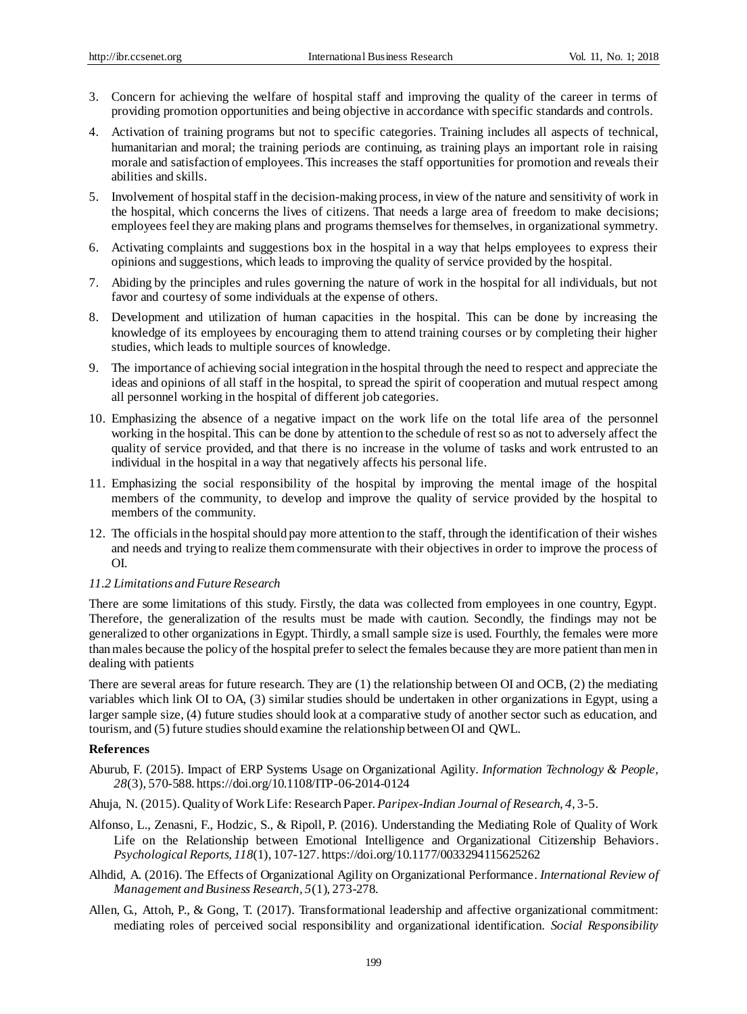- 3. Concern for achieving the welfare of hospital staff and improving the quality of the career in terms of providing promotion opportunities and being objective in accordance with specific standards and controls.
- 4. Activation of training programs but not to specific categories. Training includes all aspects of technical, humanitarian and moral; the training periods are continuing, as training plays an important role in raising morale and satisfaction of employees. This increases the staff opportunities for promotion and reveals their abilities and skills.
- 5. Involvement of hospital staff in the decision-making process, in view of the nature and sensitivity of work in the hospital, which concerns the lives of citizens. That needs a large area of freedom to make decisions; employees feel they are making plans and programs themselves for themselves, in organizational symmetry.
- 6. Activating complaints and suggestions box in the hospital in a way that helps employees to express their opinions and suggestions, which leads to improving the quality of service provided by the hospital.
- 7. Abiding by the principles and rules governing the nature of work in the hospital for all individuals, but not favor and courtesy of some individuals at the expense of others.
- 8. Development and utilization of human capacities in the hospital. This can be done by increasing the knowledge of its employees by encouraging them to attend training courses or by completing their higher studies, which leads to multiple sources of knowledge.
- 9. The importance of achieving social integration in the hospital through the need to respect and appreciate the ideas and opinions of all staff in the hospital, to spread the spirit of cooperation and mutual respect among all personnel working in the hospital of different job categories.
- 10. Emphasizing the absence of a negative impact on the work life on the total life area of the personnel working in the hospital. This can be done by attention to the schedule of rest so as not to adversely affect the quality of service provided, and that there is no increase in the volume of tasks and work entrusted to an individual in the hospital in a way that negatively affects his personal life.
- 11. Emphasizing the social responsibility of the hospital by improving the mental image of the hospital members of the community, to develop and improve the quality of service provided by the hospital to members of the community.
- 12. The officials in the hospital should pay more attention to the staff, through the identification of their wishes and needs and trying to realize them commensurate with their objectives in order to improve the process of OI.

#### *11.2 Limitations and Future Research*

There are some limitations of this study. Firstly, the data was collected from employees in one country, Egypt. Therefore, the generalization of the results must be made with caution. Secondly, the findings may not be generalized to other organizations in Egypt. Thirdly, a small sample size is used. Fourthly, the females were more than males because the policy of the hospital prefer to select the females because they are more patient than men in dealing with patients

There are several areas for future research. They are (1) the relationship between OI and OCB, (2) the mediating variables which link OI to OA, (3) similar studies should be undertaken in other organizations in Egypt, using a larger sample size, (4) future studies should look at a comparative study of another sector such as education, and tourism, and (5) future studies should examine the relationship between OI and QWL.

#### **References**

- Aburub, F. (2015). Impact of ERP Systems Usage on Organizational Agility. *Information Technology & People, 28*(3), 570-588. https://doi.org/10.1108/ITP-06-2014-0124
- Ahuja, N. (2015). Quality of Work Life: Research Paper. *Paripex-Indian Journal of Research, 4,* 3-5.
- Alfonso, L., Zenasni, F., Hodzic, S., & Ripoll, P. (2016). Understanding the Mediating Role of Quality of Work Life on the Relationship between Emotional Intelligence and Organizational Citizenship Behaviors. *Psychological Reports, 118*(1), 107-127. https://doi.org/10.1177/0033294115625262
- Alhdid, A. (2016). The Effects of Organizational Agility on Organizational Performance. *International Review of Management and Business Research, 5*(1), 273-278.
- Allen, G., Attoh, P., & Gong, T. (2017). Transformational leadership and affective organizational commitment: mediating roles of perceived social responsibility and organizational identification. *Social Responsibility*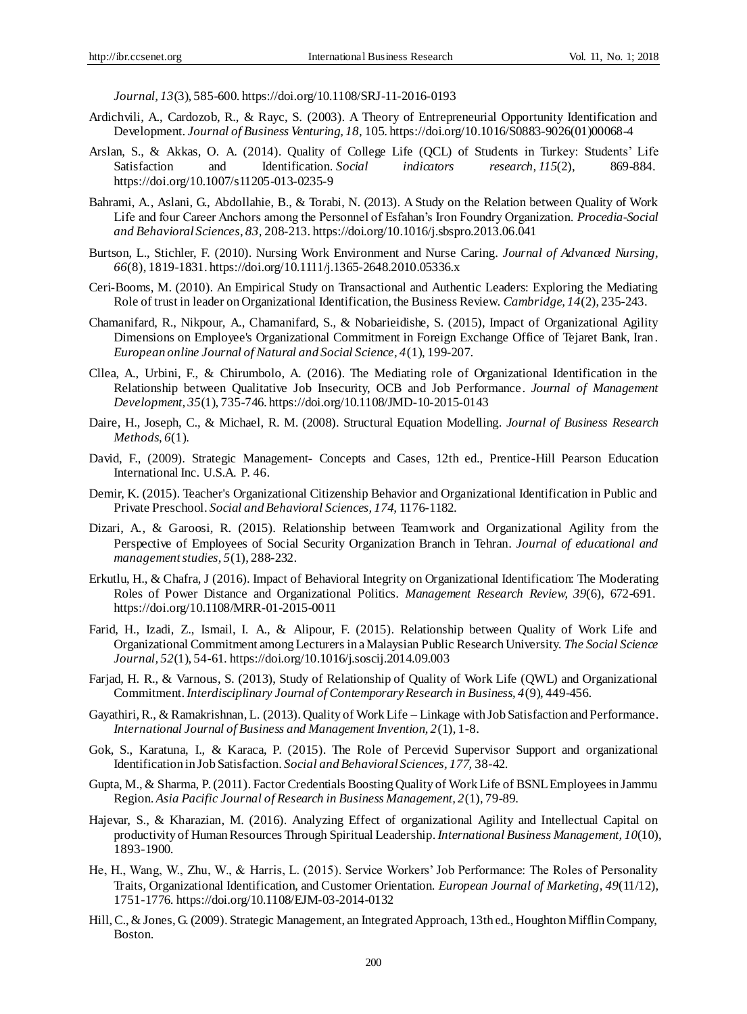*Journal, 13*(3), 585-600. https://doi.org/10.1108/SRJ-11-2016-0193

- Ardichvili, A., Cardozob, R., & Rayc, S. (2003). A Theory of Entrepreneurial Opportunity Identification and Development. *Journal of Business Venturing, 18,* 105. https://doi.org/10.1016/S0883-9026(01)00068-4
- Arslan, S., & Akkas, O. A. (2014). Quality of College Life (QCL) of Students in Turkey: Students' Life Satisfaction and Identification. *Social indicators research, 115*(2), 869-884. https://doi.org/10.1007/s11205-013-0235-9
- Bahrami, A., Aslani, G., Abdollahie, B., & Torabi, N. (2013). A Study on the Relation between Quality of Work Life and four Career Anchors among the Personnel of Esfahan's Iron Foundry Organization. *Procedia-Social and Behavioral Sciences, 83,* 208-213. https://doi.org/10.1016/j.sbspro.2013.06.041
- Burtson, L., Stichler, F. (2010). Nursing Work Environment and Nurse Caring. *Journal of Advanced Nursing, 66*(8), 1819-1831. https://doi.org/10.1111/j.1365-2648.2010.05336.x
- Ceri-Booms, M. (2010). An Empirical Study on Transactional and Authentic Leaders: Exploring the Mediating Role of trust in leader on Organizational Identification, the Business Review. *Cambridge, 14*(2), 235-243.
- Chamanifard, R., Nikpour, A., Chamanifard, S., & Nobarieidishe, S. (2015), Impact of Organizational Agility Dimensions on Employee's Organizational Commitment in Foreign Exchange Office of Tejaret Bank, Iran. *European online Journal of Natural and Social Science, 4*(1), 199-207.
- Cllea, A., Urbini, F., & Chirumbolo, A. (2016). The Mediating role of Organizational Identification in the Relationship between Qualitative Job Insecurity, OCB and Job Performance. *Journal of Management Development, 35*(1), 735-746. https://doi.org/10.1108/JMD-10-2015-0143
- Daire, H., Joseph, C., & Michael, R. M. (2008). Structural Equation Modelling. *Journal of Business Research Methods*, *6*(1).
- David, F., (2009). Strategic Management- Concepts and Cases, 12th ed., Prentice-Hill Pearson Education International Inc. U.S.A. P. 46.
- Demir, K. (2015). Teacher's Organizational Citizenship Behavior and Organizational Identification in Public and Private Preschool. *Social and Behavioral Sciences, 174,* 1176-1182.
- Dizari, A., & Garoosi, R. (2015). Relationship between Teamwork and Organizational Agility from the Perspective of Employees of Social Security Organization Branch in Tehran. *Journal of educational and management studies, 5*(1), 288-232.
- Erkutlu, H., & Chafra, J (2016). Impact of Behavioral Integrity on Organizational Identification: The Moderating Roles of Power Distance and Organizational Politics. *Management Research Review, 39*(6), 672-691. https://doi.org/10.1108/MRR-01-2015-0011
- Farid, H., Izadi, Z., Ismail, I. A., & Alipour, F. (2015). Relationship between Quality of Work Life and Organizational Commitment among Lecturers in a Malaysian Public Research University. *The Social Science Journal, 52*(1), 54-61. https://doi.org/10.1016/j.soscij.2014.09.003
- Farjad, H. R., & Varnous, S. (2013), Study of Relationship of Quality of Work Life (QWL) and Organizational Commitment.*Interdisciplinary Journal of Contemporary Research in Business, 4*(9), 449-456.
- Gayathiri, R., & Ramakrishnan, L. (2013). Quality of Work Life Linkage with Job Satisfaction and Performance. *International Journal of Business and Management Invention, 2*(1), 1-8.
- Gok, S., Karatuna, I., & Karaca, P. (2015). The Role of Percevid Supervisor Support and organizational Identification in Job Satisfaction. *Social and Behavioral Sciences, 177,* 38-42.
- Gupta, M., & Sharma, P. (2011). Factor Credentials Boosting Quality of Work Life of BSNL Employees in Jammu Region. *Asia Pacific Journal of Research in Business Management, 2*(1), 79-89.
- Hajevar, S., & Kharazian, M. (2016). Analyzing Effect of organizational Agility and Intellectual Capital on productivity of Human Resources Through Spiritual Leadership.*International Business Management, 10*(10), 1893-1900.
- He, H., Wang, W., Zhu, W., & Harris, L. (2015). Service Workers' Job Performance: The Roles of Personality Traits, Organizational Identification, and Customer Orientation. *European Journal of Marketing, 49*(11/12), 1751-1776. https://doi.org/10.1108/EJM-03-2014-0132
- Hill, C., & Jones, G. (2009). Strategic Management, an Integrated Approach, 13th ed., Houghton Mifflin Company, Boston.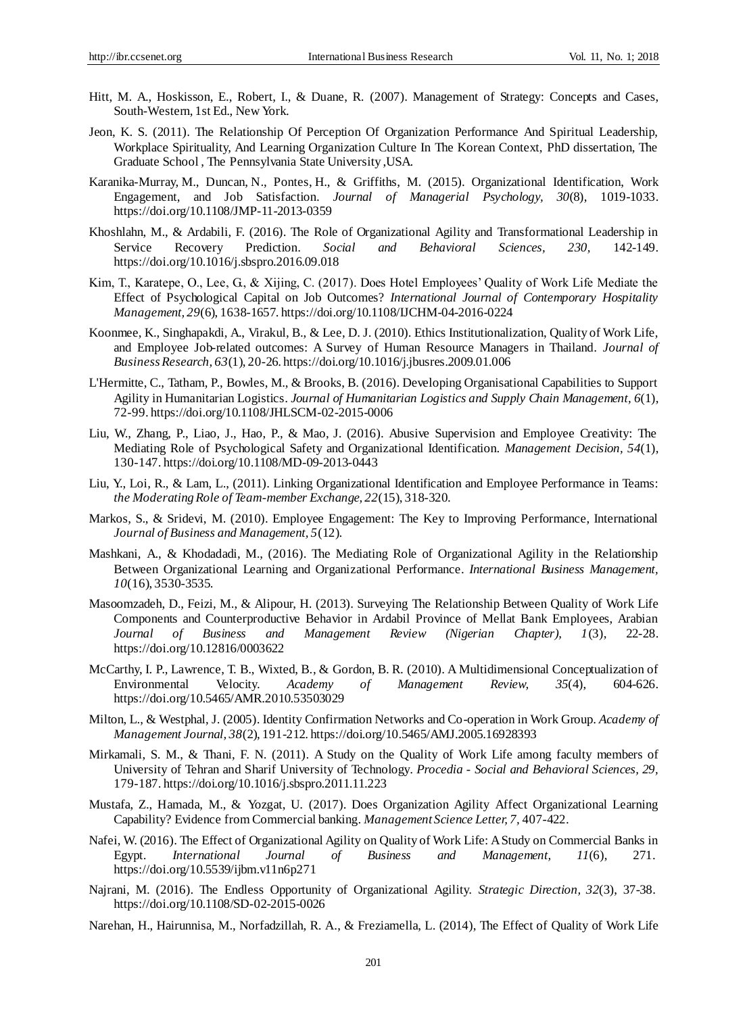- Hitt, M. A., Hoskisson, E., Robert, I., & Duane, R. (2007). Management of Strategy: Concepts and Cases, South-Western, 1st Ed., New York.
- Jeon, K. S. (2011). The Relationship Of Perception Of Organization Performance And Spiritual Leadership, Workplace Spirituality, And Learning Organization Culture In The Korean Context, PhD dissertation, The Graduate School , The Pennsylvania State University ,USA.
- [Karanika-Murray,](http://www.emeraldinsight.com/author/Karanika-Murray%2C+Maria) M., [Duncan,](http://www.emeraldinsight.com/author/Duncan%2C+Nikita) N., [Pontes,](http://www.emeraldinsight.com/author/Pontes%2C+Halley+M) H., & [Griffiths,](http://www.emeraldinsight.com/author/Griffiths%2C+Mark+D) M. (2015). Organizational Identification, Work Engagement, and Job Satisfaction. *Journal of Managerial Psychology, 30*(8), 1019-1033. https://doi.org/10.1108/JMP-11-2013-0359
- Khoshlahn, M., & Ardabili, F. (2016). The Role of Organizational Agility and Transformational Leadership in Service Recovery Prediction. *Social and Behavioral Sciences, 230,* 142-149. https://doi.org/10.1016/j.sbspro.2016.09.018
- Kim, T., Karatepe, O., Lee, G., & Xijing, C. (2017). Does Hotel Employees' Quality of Work Life Mediate the Effect of Psychological Capital on Job Outcomes? *International Journal of Contemporary Hospitality Management, 29*(6), 1638-1657. https://doi.org/10.1108/IJCHM-04-2016-0224
- Koonmee, K., Singhapakdi, A., Virakul, B., & Lee, D. J. (2010). Ethics Institutionalization, Quality of Work Life, and Employee Job-related outcomes: A Survey of Human Resource Managers in Thailand. *Journal of Business Research, 63*(1), 20-26. https://doi.org/10.1016/j.jbusres.2009.01.006
- L'Hermitte, C., Tatham, P., Bowles, M., & Brooks, B. (2016). Developing Organisational Capabilities to Support Agility in Humanitarian Logistics. *Journal of Humanitarian Logistics and Supply Chain Management, 6*(1), 72-99. https://doi.org/10.1108/JHLSCM-02-2015-0006
- Liu, W., Zhang, P., Liao, J., Hao, P., & Mao, J. (2016). Abusive Supervision and Employee Creativity: The Mediating Role of Psychological Safety and Organizational Identification. *Management Decision, 54*(1), 130-147. https://doi.org/10.1108/MD-09-2013-0443
- Liu, Y., Loi, R., & Lam, L., (2011). Linking Organizational Identification and Employee Performance in Teams: *the Moderating Role of Team-member Exchange, 22*(15), 318-320.
- Markos, S., & Sridevi, M. (2010). Employee Engagement: The Key to Improving Performance, International *Journal of Business and Management, 5*(12).
- Mashkani, A., & Khodadadi, M., (2016). The Mediating Role of Organizational Agility in the Relationship Between Organizational Learning and Organizational Performance. *International Business Management, 10*(16), 3530-3535.
- Masoomzadeh, D., Feizi, M., & Alipour, H. (2013). Surveying The Relationship Between Quality of Work Life Components and Counterproductive Behavior in Ardabil Province of Mellat Bank Employees, Arabian *Journal of Business and Management Review (Nigerian Chapter), 1*(3), 22-28. https://doi.org/10.12816/0003622
- McCarthy, I. P., Lawrence, T. B., Wixted, B., & Gordon, B. R. (2010). A Multidimensional Conceptualization of Environmental Velocity. *Academy of Management Review, 35*(4), 604-626. https://doi.org/10.5465/AMR.2010.53503029
- Milton, L., & Westphal, J. (2005). Identity Confirmation Networks and Co-operation in Work Group. *Academy of Management Journal, 38*(2), 191-212. https://doi.org/10.5465/AMJ.2005.16928393
- Mirkamali, S. M., & Thani, F. N. (2011). A Study on the Quality of Work Life among faculty members of University of Tehran and Sharif University of Technology. *Procedia - Social and Behavioral Sciences, 29,*  179-187. https://doi.org/10.1016/j.sbspro.2011.11.223
- Mustafa, Z., Hamada, M., & Yozgat, U. (2017). Does Organization Agility Affect Organizational Learning Capability? Evidence from Commercial banking. *Management Science Letter, 7,* 407-422.
- Nafei, W. (2016). The Effect of Organizational Agility on Quality of Work Life: A Study on Commercial Banks in Egypt. *International Journal of Business and Management, 11*(6), 271. https://doi.org/10.5539/ijbm.v11n6p271
- Najrani, M. (2016). The Endless Opportunity of Organizational Agility. *Strategic Direction, 32*(3), 37-38. https://doi.org/10.1108/SD-02-2015-0026
- Narehan, H., Hairunnisa, M., Norfadzillah, R. A., & Freziamella, L. (2014), The Effect of Quality of Work Life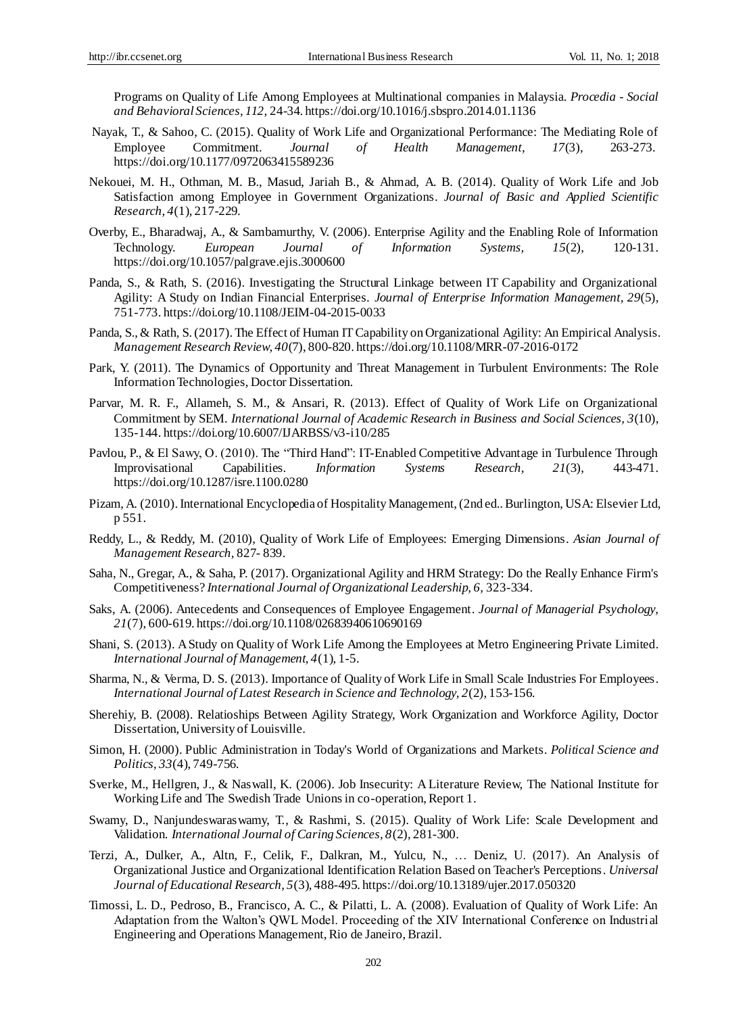Programs on Quality of Life Among Employees at Multinational companies in Malaysia. *Procedia - Social and Behavioral Sciences, 112,* 24-34. https://doi.org/10.1016/j.sbspro.2014.01.1136

- Nayak, T., & Sahoo, C. (2015). Quality of Work Life and Organizational Performance: The Mediating Role of Employee Commitment. *Journal of Health Management, 17*(3), 263-273. https://doi.org/10.1177/0972063415589236
- Nekouei, M. H., Othman, M. B., Masud, Jariah B., & Ahmad, A. B. (2014). Quality of Work Life and Job Satisfaction among Employee in Government Organizations. *Journal of Basic and Applied Scientific Research, 4*(1), 217-229.
- Overby, E., Bharadwaj, A., & Sambamurthy, V. (2006). Enterprise Agility and the Enabling Role of Information Technology. *European Journal of Information Systems, 15*(2), 120-131. https://doi.org/10.1057/palgrave.ejis.3000600
- Panda, S., & Rath, S. (2016). Investigating the Structural Linkage between IT Capability and Organizational Agility: A Study on Indian Financial Enterprises. *Journal of Enterprise Information Management, 29*(5), 751-773. https://doi.org/10.1108/JEIM-04-2015-0033
- Panda, S., & Rath, S. (2017). The Effect of Human IT Capability on Organizational Agility: An Empirical Analysis. *Management Research Review, 40*(7), 800-820. https://doi.org/10.1108/MRR-07-2016-0172
- Park, Y. (2011). The Dynamics of Opportunity and Threat Management in Turbulent Environments: The Role Information Technologies, Doctor Dissertation.
- Parvar, M. R. F., Allameh, S. M., & Ansari, R. (2013). Effect of Quality of Work Life on Organizational Commitment by SEM. *International Journal of Academic Research in Business and Social Sciences, 3*(10), 135-144. https://doi.org/10.6007/IJARBSS/v3-i10/285
- Pavlou, P., & El Sawy, O. (2010). The "Third Hand": IT-Enabled Competitive Advantage in Turbulence Through Improvisational Capabilities. *Information Systems Research, 21*(3), 443-471. https://doi.org/10.1287/isre.1100.0280
- Pizam, A. (2010). International Encyclopedia of Hospitality Management, (2nd ed.. Burlington, USA: Elsevier Ltd, p 551.
- Reddy, L., & Reddy, M. (2010), Quality of Work Life of Employees: Emerging Dimensions. *Asian Journal of Management Research,* 827- 839.
- Saha, N., Gregar, A., & Saha, P. (2017). Organizational Agility and HRM Strategy: Do the Really Enhance Firm's Competitiveness? *International Journal of Organizational Leadership, 6,* 323-334.
- [Saks,](http://www.emeraldinsight.com/author/Saks%2C+Alan+M) A. (2006). Antecedents and Consequences of Employee Engagement. *Journal of Managerial Psychology, 21*(7), 600-619. https://doi.org/10.1108/02683940610690169
- Shani, S. (2013). A Study on Quality of Work Life Among the Employees at Metro Engineering Private Limited. *International Journal of Management, 4*(1), 1-5.
- Sharma, N., & Verma, D. S. (2013). Importance of Quality of Work Life in Small Scale Industries For Employees. *International Journal of Latest Research in Science and Technology, 2*(2), 153-156.
- Sherehiy, B. (2008). Relatioships Between Agility Strategy, Work Organization and Workforce Agility, Doctor Dissertation, University of Louisville.
- Simon, H. (2000). Public Administration in Today's World of Organizations and Markets. *Political Science and Politics, 33*(4), 749-756.
- Sverke, M., Hellgren, J., & Naswall, K. (2006). Job Insecurity: A Literature Review, The National Institute for Working Life and The Swedish Trade Unions in co-operation, Report 1.
- Swamy, D., Nanjundeswaraswamy, T., & Rashmi, S. (2015). Quality of Work Life: Scale Development and Validation. *International Journal of Caring Sciences, 8*(2), 281-300.
- Terzi, A., Dulker, A., Altn, F., Celik, F., Dalkran, M., Yulcu, N., … Deniz, U. (2017). An Analysis of Organizational Justice and Organizational Identification Relation Based on Teacher's Perceptions. *Universal Journal of Educational Research, 5*(3), 488-495. https://doi.org/10.13189/ujer.2017.050320
- Timossi, L. D., Pedroso, B., Francisco, A. C., & Pilatti, L. A. (2008). Evaluation of Quality of Work Life: An Adaptation from the Walton's QWL Model. Proceeding of the XIV International Conference on Industrial Engineering and Operations Management, Rio de Janeiro, Brazil.